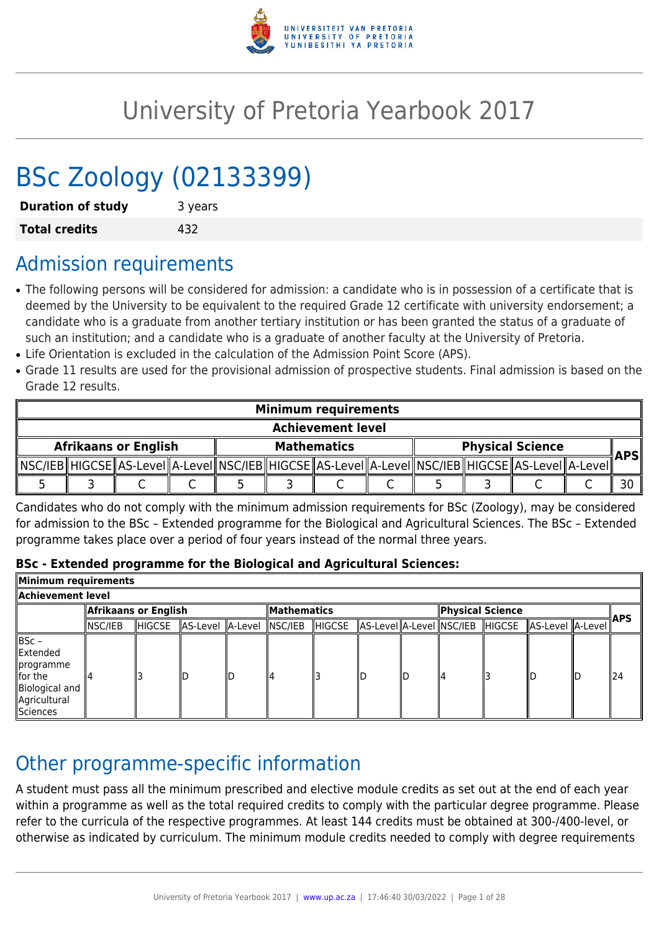

# University of Pretoria Yearbook 2017

# BSc Zoology (02133399)

| <b>Duration of study</b> | 3 years |
|--------------------------|---------|
| <b>Total credits</b>     | 432     |

# Admission requirements

- The following persons will be considered for admission: a candidate who is in possession of a certificate that is deemed by the University to be equivalent to the required Grade 12 certificate with university endorsement; a candidate who is a graduate from another tertiary institution or has been granted the status of a graduate of such an institution; and a candidate who is a graduate of another faculty at the University of Pretoria.
- Life Orientation is excluded in the calculation of the Admission Point Score (APS).
- Grade 11 results are used for the provisional admission of prospective students. Final admission is based on the Grade 12 results.

| <b>Minimum requirements</b> |  |  |  |  |  |                                                                                                               |  |                         |            |
|-----------------------------|--|--|--|--|--|---------------------------------------------------------------------------------------------------------------|--|-------------------------|------------|
| <b>Achievement level</b>    |  |  |  |  |  |                                                                                                               |  |                         |            |
| <b>Afrikaans or English</b> |  |  |  |  |  | <b>Mathematics</b>                                                                                            |  | <b>Physical Science</b> | <b>APS</b> |
|                             |  |  |  |  |  | _MSC/IEB HIGCSE  AS-LeveI  A-LeveI  NSC/IEB  HIGCSE  AS-LeveI  A-LeveI  NSC/IEB  HIGCSE  AS-LeveI  A-LeveI  ` |  |                         |            |
|                             |  |  |  |  |  |                                                                                                               |  |                         |            |

Candidates who do not comply with the minimum admission requirements for BSc (Zoology), may be considered for admission to the BSc – Extended programme for the Biological and Agricultural Sciences. The BSc – Extended programme takes place over a period of four years instead of the normal three years.

#### **BSc - Extended programme for the Biological and Agricultural Sciences:**

| Minimum requirements                                                                     |                       |         |                          |  |                    |         |  |                  |  |                                                          |  |            |     |
|------------------------------------------------------------------------------------------|-----------------------|---------|--------------------------|--|--------------------|---------|--|------------------|--|----------------------------------------------------------|--|------------|-----|
| Achievement level                                                                        |                       |         |                          |  |                    |         |  |                  |  |                                                          |  |            |     |
|                                                                                          | Afrikaans or English! |         |                          |  | <b>Mathematics</b> |         |  | Physical Science |  |                                                          |  | <b>APS</b> |     |
|                                                                                          | NSC/IEB               | ∥HIGCSE | AS-Level A-Level NSC/IEB |  |                    | ∥HIGCSE |  |                  |  | AS-Level  A-Level  NSC/IEB   HIGCSE   AS-Level   A-Level |  |            |     |
| BSc -<br>Extended<br>∥programme<br>for the<br>Biological and<br>Agricultural<br>Sciences |                       |         | IГ.                      |  | 14                 |         |  |                  |  |                                                          |  |            | 124 |

# Other programme-specific information

A student must pass all the minimum prescribed and elective module credits as set out at the end of each year within a programme as well as the total required credits to comply with the particular degree programme. Please refer to the curricula of the respective programmes. At least 144 credits must be obtained at 300-/400-level, or otherwise as indicated by curriculum. The minimum module credits needed to comply with degree requirements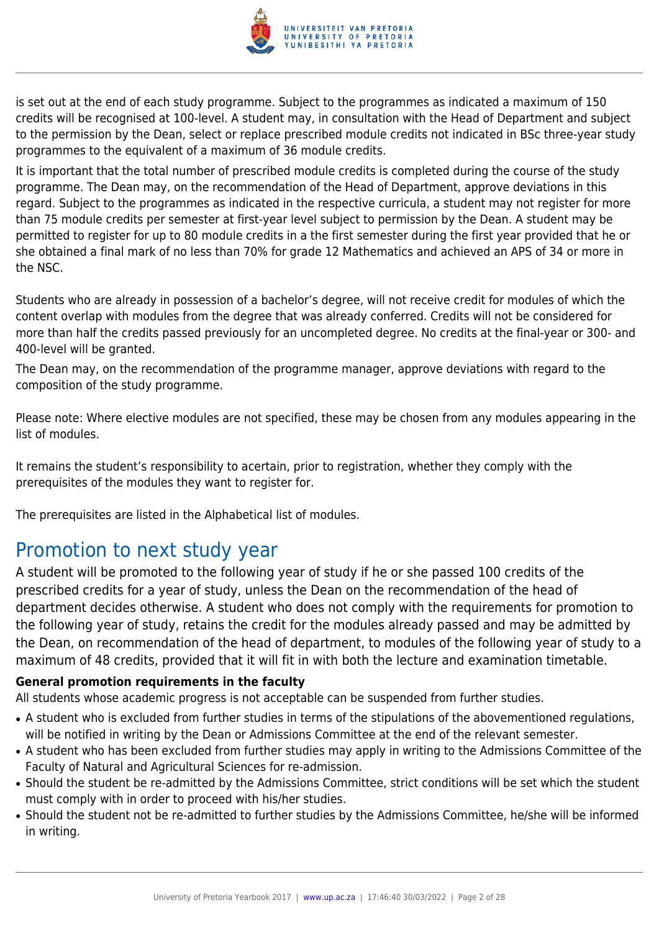

is set out at the end of each study programme. Subject to the programmes as indicated a maximum of 150 credits will be recognised at 100-level. A student may, in consultation with the Head of Department and subject to the permission by the Dean, select or replace prescribed module credits not indicated in BSc three-year study programmes to the equivalent of a maximum of 36 module credits.

It is important that the total number of prescribed module credits is completed during the course of the study programme. The Dean may, on the recommendation of the Head of Department, approve deviations in this regard. Subject to the programmes as indicated in the respective curricula, a student may not register for more than 75 module credits per semester at first-year level subject to permission by the Dean. A student may be permitted to register for up to 80 module credits in a the first semester during the first year provided that he or she obtained a final mark of no less than 70% for grade 12 Mathematics and achieved an APS of 34 or more in the NSC.

Students who are already in possession of a bachelor's degree, will not receive credit for modules of which the content overlap with modules from the degree that was already conferred. Credits will not be considered for more than half the credits passed previously for an uncompleted degree. No credits at the final-year or 300- and 400-level will be granted.

The Dean may, on the recommendation of the programme manager, approve deviations with regard to the composition of the study programme.

Please note: Where elective modules are not specified, these may be chosen from any modules appearing in the list of modules.

It remains the student's responsibility to acertain, prior to registration, whether they comply with the prerequisites of the modules they want to register for.

The prerequisites are listed in the Alphabetical list of modules.

# Promotion to next study year

A student will be promoted to the following year of study if he or she passed 100 credits of the prescribed credits for a year of study, unless the Dean on the recommendation of the head of department decides otherwise. A student who does not comply with the requirements for promotion to the following year of study, retains the credit for the modules already passed and may be admitted by the Dean, on recommendation of the head of department, to modules of the following year of study to a maximum of 48 credits, provided that it will fit in with both the lecture and examination timetable.

#### **General promotion requirements in the faculty**

All students whose academic progress is not acceptable can be suspended from further studies.

- A student who is excluded from further studies in terms of the stipulations of the abovementioned regulations, will be notified in writing by the Dean or Admissions Committee at the end of the relevant semester.
- A student who has been excluded from further studies may apply in writing to the Admissions Committee of the Faculty of Natural and Agricultural Sciences for re-admission.
- Should the student be re-admitted by the Admissions Committee, strict conditions will be set which the student must comply with in order to proceed with his/her studies.
- Should the student not be re-admitted to further studies by the Admissions Committee, he/she will be informed in writing.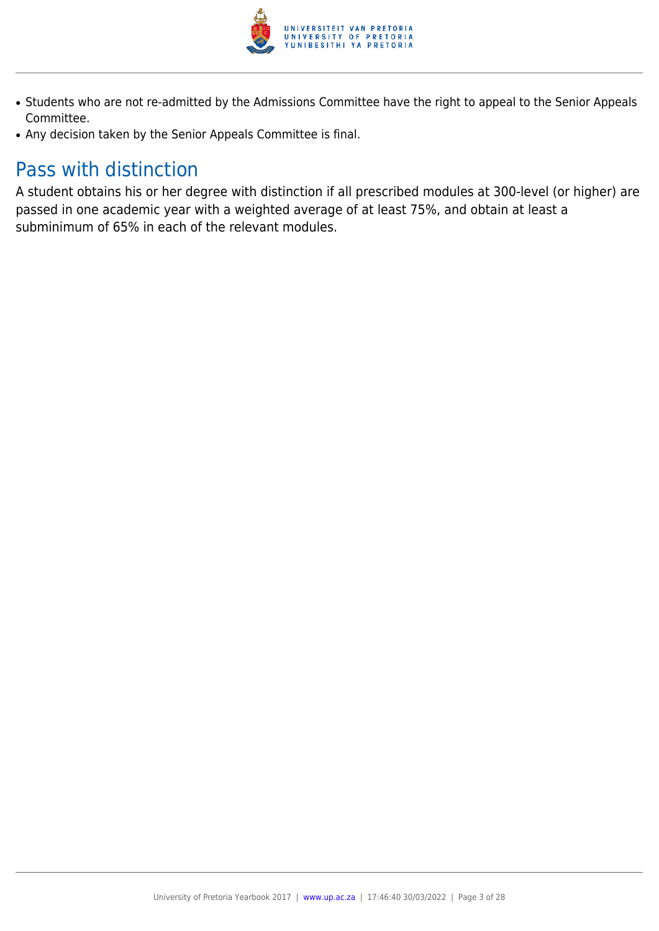

- Students who are not re-admitted by the Admissions Committee have the right to appeal to the Senior Appeals Committee.
- Any decision taken by the Senior Appeals Committee is final.

# Pass with distinction

A student obtains his or her degree with distinction if all prescribed modules at 300-level (or higher) are passed in one academic year with a weighted average of at least 75%, and obtain at least a subminimum of 65% in each of the relevant modules.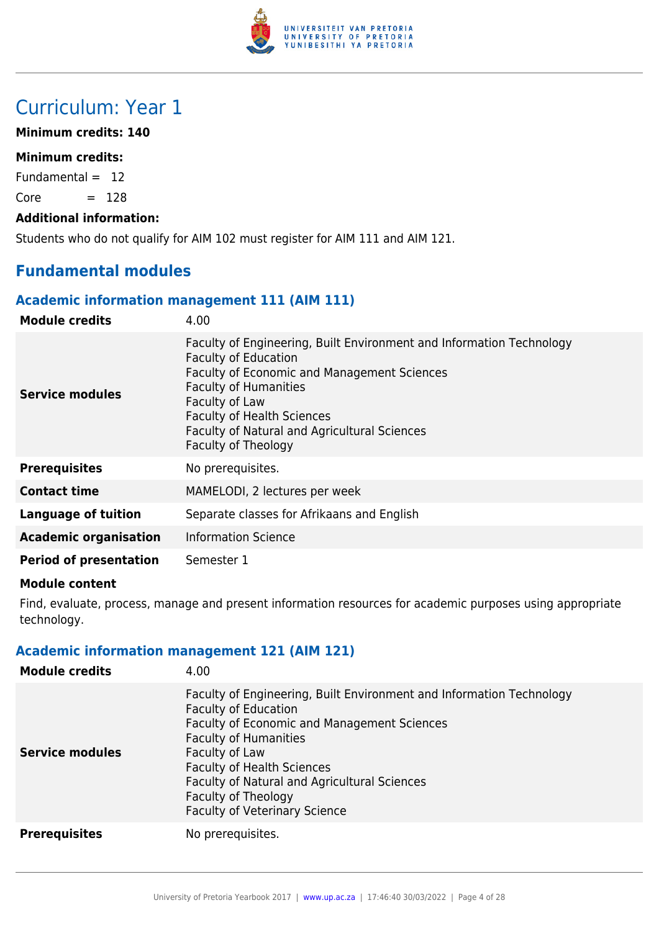

# Curriculum: Year 1

#### **Minimum credits: 140**

#### **Minimum credits:**

Fundamental  $= 12$ 

 $Core = 128$ 

#### **Additional information:**

Students who do not qualify for AIM 102 must register for AIM 111 and AIM 121.

# **Fundamental modules**

#### **Academic information management 111 (AIM 111)**

| <b>Module credits</b>         | 4.00                                                                                                                                                                                                                                                                                                             |
|-------------------------------|------------------------------------------------------------------------------------------------------------------------------------------------------------------------------------------------------------------------------------------------------------------------------------------------------------------|
| Service modules               | Faculty of Engineering, Built Environment and Information Technology<br><b>Faculty of Education</b><br>Faculty of Economic and Management Sciences<br><b>Faculty of Humanities</b><br>Faculty of Law<br><b>Faculty of Health Sciences</b><br>Faculty of Natural and Agricultural Sciences<br>Faculty of Theology |
| <b>Prerequisites</b>          | No prerequisites.                                                                                                                                                                                                                                                                                                |
| <b>Contact time</b>           | MAMELODI, 2 lectures per week                                                                                                                                                                                                                                                                                    |
| <b>Language of tuition</b>    | Separate classes for Afrikaans and English                                                                                                                                                                                                                                                                       |
| <b>Academic organisation</b>  | <b>Information Science</b>                                                                                                                                                                                                                                                                                       |
| <b>Period of presentation</b> | Semester 1                                                                                                                                                                                                                                                                                                       |

#### **Module content**

Find, evaluate, process, manage and present information resources for academic purposes using appropriate technology.

#### **Academic information management 121 (AIM 121)**

| <b>Module credits</b>  | 4.00                                                                                                                                                                                                                                                                                                                                                                   |
|------------------------|------------------------------------------------------------------------------------------------------------------------------------------------------------------------------------------------------------------------------------------------------------------------------------------------------------------------------------------------------------------------|
| <b>Service modules</b> | Faculty of Engineering, Built Environment and Information Technology<br><b>Faculty of Education</b><br><b>Faculty of Economic and Management Sciences</b><br><b>Faculty of Humanities</b><br>Faculty of Law<br><b>Faculty of Health Sciences</b><br><b>Faculty of Natural and Agricultural Sciences</b><br>Faculty of Theology<br><b>Faculty of Veterinary Science</b> |
| <b>Prerequisites</b>   | No prerequisites.                                                                                                                                                                                                                                                                                                                                                      |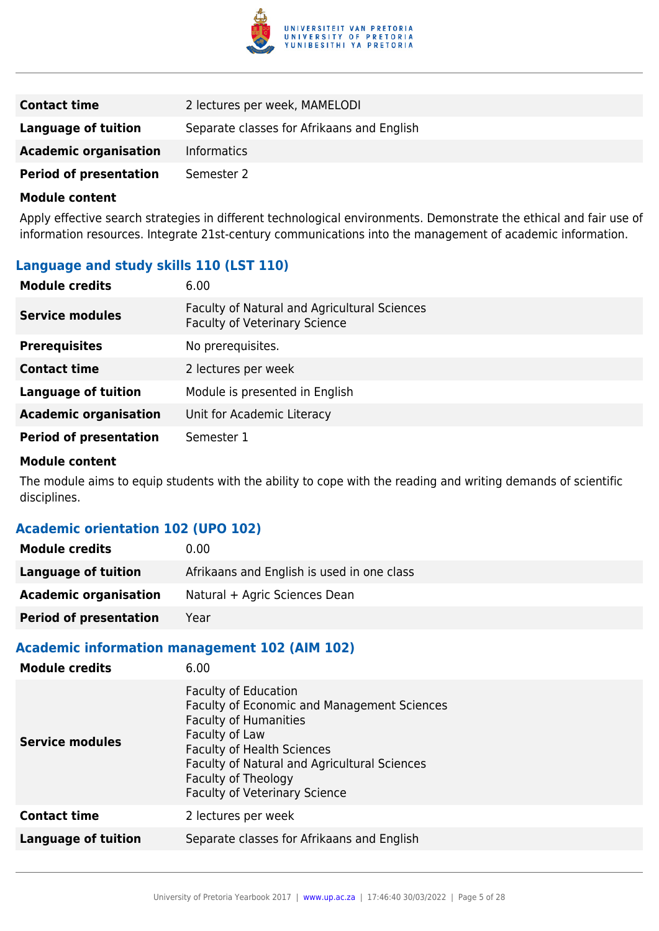

| <b>Contact time</b>           | 2 lectures per week, MAMELODI              |
|-------------------------------|--------------------------------------------|
| Language of tuition           | Separate classes for Afrikaans and English |
| <b>Academic organisation</b>  | <b>Informatics</b>                         |
| <b>Period of presentation</b> | Semester 2                                 |

Apply effective search strategies in different technological environments. Demonstrate the ethical and fair use of information resources. Integrate 21st-century communications into the management of academic information.

### **Language and study skills 110 (LST 110)**

| <b>Module credits</b>         | 6.00                                                                                 |
|-------------------------------|--------------------------------------------------------------------------------------|
| <b>Service modules</b>        | Faculty of Natural and Agricultural Sciences<br><b>Faculty of Veterinary Science</b> |
| <b>Prerequisites</b>          | No prerequisites.                                                                    |
| <b>Contact time</b>           | 2 lectures per week                                                                  |
| <b>Language of tuition</b>    | Module is presented in English                                                       |
| <b>Academic organisation</b>  | Unit for Academic Literacy                                                           |
| <b>Period of presentation</b> | Semester 1                                                                           |

#### **Module content**

The module aims to equip students with the ability to cope with the reading and writing demands of scientific disciplines.

#### **Academic orientation 102 (UPO 102)**

| <b>Module credits</b>         | 0.00                                       |
|-------------------------------|--------------------------------------------|
| Language of tuition           | Afrikaans and English is used in one class |
| <b>Academic organisation</b>  | Natural + Agric Sciences Dean              |
| <b>Period of presentation</b> | Year                                       |

#### **Academic information management 102 (AIM 102)**

| <b>Module credits</b>      | 6.00                                                                                                                                                                                                                                                                                    |
|----------------------------|-----------------------------------------------------------------------------------------------------------------------------------------------------------------------------------------------------------------------------------------------------------------------------------------|
| Service modules            | <b>Faculty of Education</b><br><b>Faculty of Economic and Management Sciences</b><br><b>Faculty of Humanities</b><br>Faculty of Law<br><b>Faculty of Health Sciences</b><br>Faculty of Natural and Agricultural Sciences<br>Faculty of Theology<br><b>Faculty of Veterinary Science</b> |
| <b>Contact time</b>        | 2 lectures per week                                                                                                                                                                                                                                                                     |
| <b>Language of tuition</b> | Separate classes for Afrikaans and English                                                                                                                                                                                                                                              |
|                            |                                                                                                                                                                                                                                                                                         |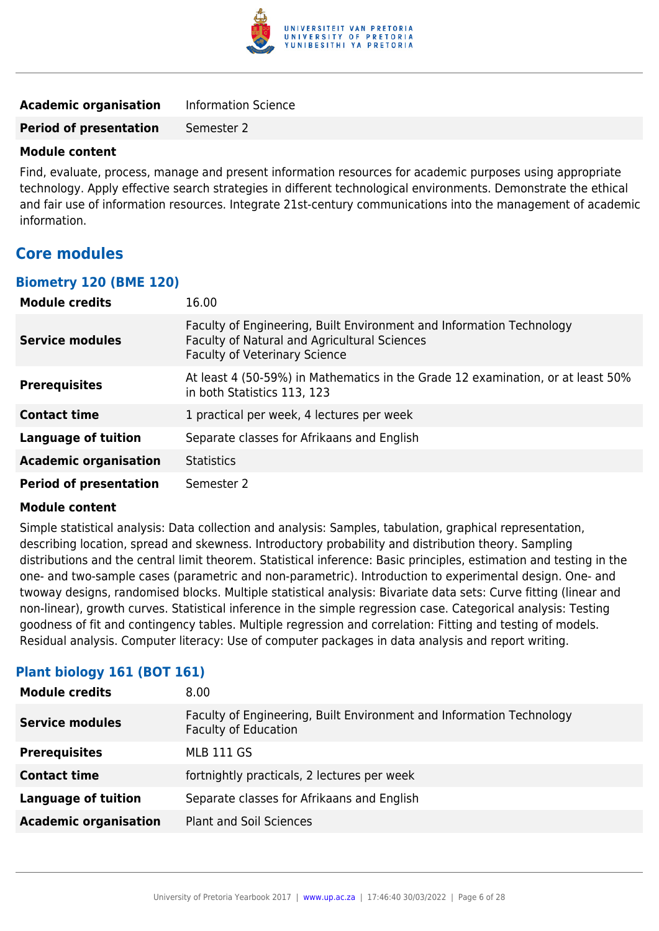

| <b>Academic organisation</b>  | <b>Information Science</b> |
|-------------------------------|----------------------------|
| <b>Period of presentation</b> | Semester 2                 |

Find, evaluate, process, manage and present information resources for academic purposes using appropriate technology. Apply effective search strategies in different technological environments. Demonstrate the ethical and fair use of information resources. Integrate 21st-century communications into the management of academic information.

### **Core modules**

#### **Biometry 120 (BME 120)**

| <b>Module credits</b>         | 16.00                                                                                                                                                        |
|-------------------------------|--------------------------------------------------------------------------------------------------------------------------------------------------------------|
| <b>Service modules</b>        | Faculty of Engineering, Built Environment and Information Technology<br>Faculty of Natural and Agricultural Sciences<br><b>Faculty of Veterinary Science</b> |
| <b>Prerequisites</b>          | At least 4 (50-59%) in Mathematics in the Grade 12 examination, or at least 50%<br>in both Statistics 113, 123                                               |
| <b>Contact time</b>           | 1 practical per week, 4 lectures per week                                                                                                                    |
| <b>Language of tuition</b>    | Separate classes for Afrikaans and English                                                                                                                   |
| <b>Academic organisation</b>  | <b>Statistics</b>                                                                                                                                            |
| <b>Period of presentation</b> | Semester 2                                                                                                                                                   |

#### **Module content**

Simple statistical analysis: Data collection and analysis: Samples, tabulation, graphical representation, describing location, spread and skewness. Introductory probability and distribution theory. Sampling distributions and the central limit theorem. Statistical inference: Basic principles, estimation and testing in the one- and two-sample cases (parametric and non-parametric). Introduction to experimental design. One- and twoway designs, randomised blocks. Multiple statistical analysis: Bivariate data sets: Curve fitting (linear and non-linear), growth curves. Statistical inference in the simple regression case. Categorical analysis: Testing goodness of fit and contingency tables. Multiple regression and correlation: Fitting and testing of models. Residual analysis. Computer literacy: Use of computer packages in data analysis and report writing.

#### **Plant biology 161 (BOT 161)**

| <b>Module credits</b>        | 8.00                                                                                                |
|------------------------------|-----------------------------------------------------------------------------------------------------|
| <b>Service modules</b>       | Faculty of Engineering, Built Environment and Information Technology<br><b>Faculty of Education</b> |
| <b>Prerequisites</b>         | <b>MLB 111 GS</b>                                                                                   |
| <b>Contact time</b>          | fortnightly practicals, 2 lectures per week                                                         |
| <b>Language of tuition</b>   | Separate classes for Afrikaans and English                                                          |
| <b>Academic organisation</b> | <b>Plant and Soil Sciences</b>                                                                      |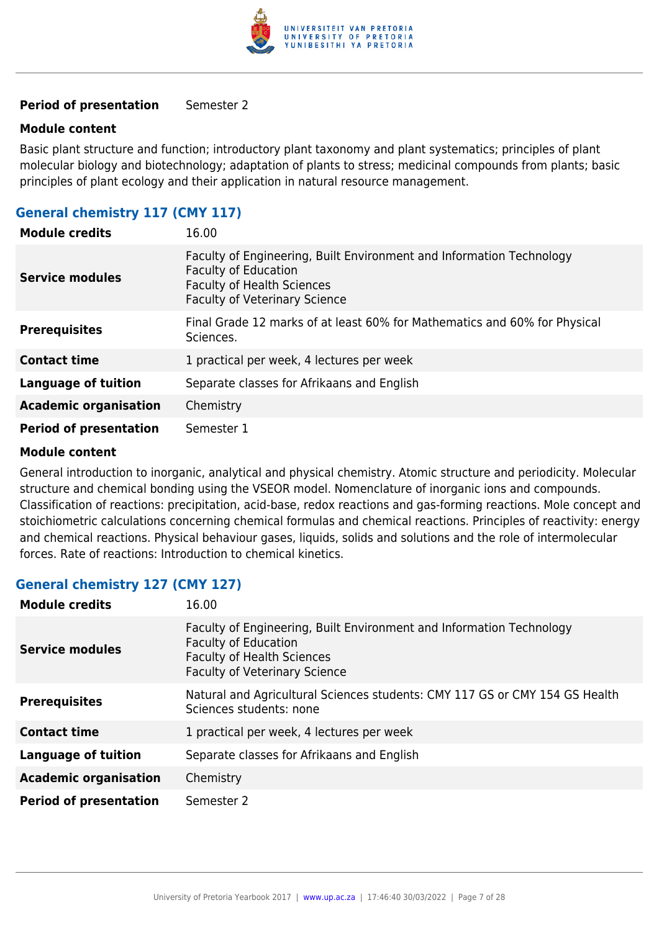

#### **Module content**

Basic plant structure and function; introductory plant taxonomy and plant systematics; principles of plant molecular biology and biotechnology; adaptation of plants to stress; medicinal compounds from plants; basic principles of plant ecology and their application in natural resource management.

#### **General chemistry 117 (CMY 117)**

| <b>Module credits</b>         | 16.00                                                                                                                                                                            |
|-------------------------------|----------------------------------------------------------------------------------------------------------------------------------------------------------------------------------|
| <b>Service modules</b>        | Faculty of Engineering, Built Environment and Information Technology<br><b>Faculty of Education</b><br><b>Faculty of Health Sciences</b><br><b>Faculty of Veterinary Science</b> |
| <b>Prerequisites</b>          | Final Grade 12 marks of at least 60% for Mathematics and 60% for Physical<br>Sciences.                                                                                           |
| <b>Contact time</b>           | 1 practical per week, 4 lectures per week                                                                                                                                        |
| <b>Language of tuition</b>    | Separate classes for Afrikaans and English                                                                                                                                       |
| <b>Academic organisation</b>  | Chemistry                                                                                                                                                                        |
| <b>Period of presentation</b> | Semester 1                                                                                                                                                                       |

#### **Module content**

General introduction to inorganic, analytical and physical chemistry. Atomic structure and periodicity. Molecular structure and chemical bonding using the VSEOR model. Nomenclature of inorganic ions and compounds. Classification of reactions: precipitation, acid-base, redox reactions and gas-forming reactions. Mole concept and stoichiometric calculations concerning chemical formulas and chemical reactions. Principles of reactivity: energy and chemical reactions. Physical behaviour gases, liquids, solids and solutions and the role of intermolecular forces. Rate of reactions: Introduction to chemical kinetics.

#### **General chemistry 127 (CMY 127)**

| <b>Module credits</b>         | 16.00                                                                                                                                                                            |
|-------------------------------|----------------------------------------------------------------------------------------------------------------------------------------------------------------------------------|
| <b>Service modules</b>        | Faculty of Engineering, Built Environment and Information Technology<br><b>Faculty of Education</b><br><b>Faculty of Health Sciences</b><br><b>Faculty of Veterinary Science</b> |
| <b>Prerequisites</b>          | Natural and Agricultural Sciences students: CMY 117 GS or CMY 154 GS Health<br>Sciences students: none                                                                           |
| <b>Contact time</b>           | 1 practical per week, 4 lectures per week                                                                                                                                        |
| <b>Language of tuition</b>    | Separate classes for Afrikaans and English                                                                                                                                       |
| <b>Academic organisation</b>  | Chemistry                                                                                                                                                                        |
| <b>Period of presentation</b> | Semester 2                                                                                                                                                                       |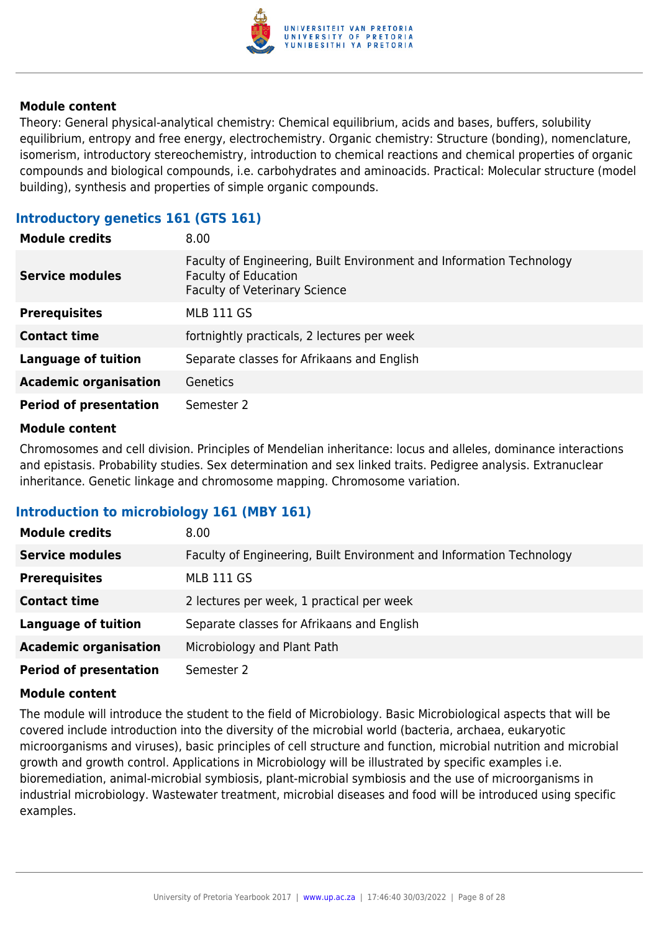

Theory: General physical-analytical chemistry: Chemical equilibrium, acids and bases, buffers, solubility equilibrium, entropy and free energy, electrochemistry. Organic chemistry: Structure (bonding), nomenclature, isomerism, introductory stereochemistry, introduction to chemical reactions and chemical properties of organic compounds and biological compounds, i.e. carbohydrates and aminoacids. Practical: Molecular structure (model building), synthesis and properties of simple organic compounds.

#### **Introductory genetics 161 (GTS 161)**

| <b>Module credits</b>         | 8.00                                                                                                                                        |
|-------------------------------|---------------------------------------------------------------------------------------------------------------------------------------------|
| <b>Service modules</b>        | Faculty of Engineering, Built Environment and Information Technology<br><b>Faculty of Education</b><br><b>Faculty of Veterinary Science</b> |
| <b>Prerequisites</b>          | <b>MLB 111 GS</b>                                                                                                                           |
| <b>Contact time</b>           | fortnightly practicals, 2 lectures per week                                                                                                 |
| <b>Language of tuition</b>    | Separate classes for Afrikaans and English                                                                                                  |
| <b>Academic organisation</b>  | Genetics                                                                                                                                    |
| <b>Period of presentation</b> | Semester 2                                                                                                                                  |

#### **Module content**

Chromosomes and cell division. Principles of Mendelian inheritance: locus and alleles, dominance interactions and epistasis. Probability studies. Sex determination and sex linked traits. Pedigree analysis. Extranuclear inheritance. Genetic linkage and chromosome mapping. Chromosome variation.

#### **Introduction to microbiology 161 (MBY 161)**

| <b>Module credits</b>         | 8.00                                                                 |
|-------------------------------|----------------------------------------------------------------------|
| <b>Service modules</b>        | Faculty of Engineering, Built Environment and Information Technology |
| <b>Prerequisites</b>          | <b>MLB 111 GS</b>                                                    |
| <b>Contact time</b>           | 2 lectures per week, 1 practical per week                            |
| <b>Language of tuition</b>    | Separate classes for Afrikaans and English                           |
| <b>Academic organisation</b>  | Microbiology and Plant Path                                          |
| <b>Period of presentation</b> | Semester 2                                                           |

#### **Module content**

The module will introduce the student to the field of Microbiology. Basic Microbiological aspects that will be covered include introduction into the diversity of the microbial world (bacteria, archaea, eukaryotic microorganisms and viruses), basic principles of cell structure and function, microbial nutrition and microbial growth and growth control. Applications in Microbiology will be illustrated by specific examples i.e. bioremediation, animal-microbial symbiosis, plant-microbial symbiosis and the use of microorganisms in industrial microbiology. Wastewater treatment, microbial diseases and food will be introduced using specific examples.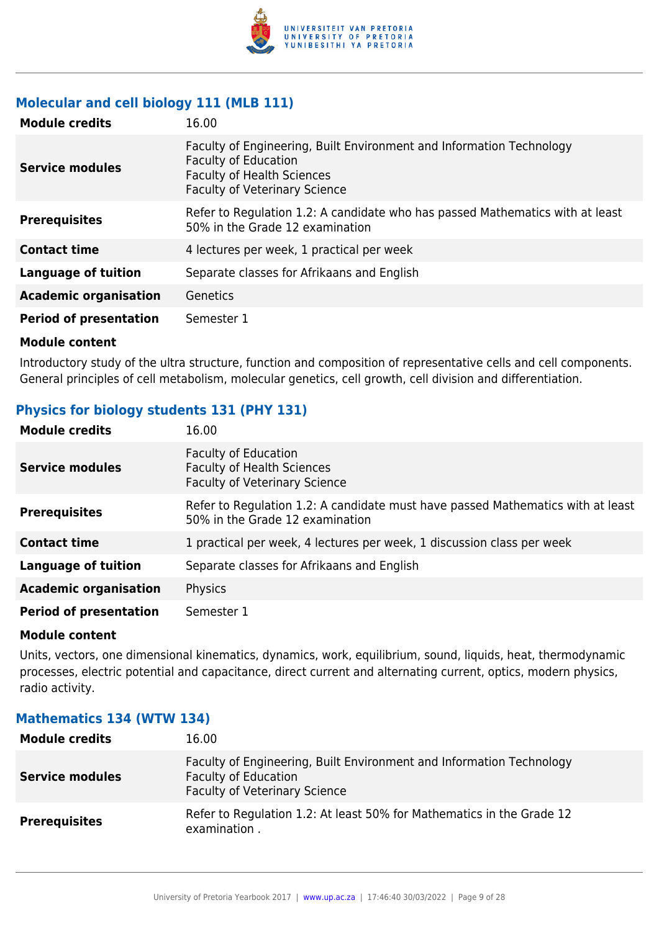

#### **Molecular and cell biology 111 (MLB 111)**

| <b>Module credits</b>         | 16.00                                                                                                                                                                            |
|-------------------------------|----------------------------------------------------------------------------------------------------------------------------------------------------------------------------------|
| Service modules               | Faculty of Engineering, Built Environment and Information Technology<br><b>Faculty of Education</b><br><b>Faculty of Health Sciences</b><br><b>Faculty of Veterinary Science</b> |
| <b>Prerequisites</b>          | Refer to Regulation 1.2: A candidate who has passed Mathematics with at least<br>50% in the Grade 12 examination                                                                 |
| <b>Contact time</b>           | 4 lectures per week, 1 practical per week                                                                                                                                        |
| <b>Language of tuition</b>    | Separate classes for Afrikaans and English                                                                                                                                       |
| <b>Academic organisation</b>  | Genetics                                                                                                                                                                         |
| <b>Period of presentation</b> | Semester 1                                                                                                                                                                       |

#### **Module content**

Introductory study of the ultra structure, function and composition of representative cells and cell components. General principles of cell metabolism, molecular genetics, cell growth, cell division and differentiation.

#### **Physics for biology students 131 (PHY 131)**

| <b>Module credits</b>         | 16.00                                                                                                              |
|-------------------------------|--------------------------------------------------------------------------------------------------------------------|
| <b>Service modules</b>        | <b>Faculty of Education</b><br><b>Faculty of Health Sciences</b><br><b>Faculty of Veterinary Science</b>           |
| <b>Prerequisites</b>          | Refer to Regulation 1.2: A candidate must have passed Mathematics with at least<br>50% in the Grade 12 examination |
| <b>Contact time</b>           | 1 practical per week, 4 lectures per week, 1 discussion class per week                                             |
| <b>Language of tuition</b>    | Separate classes for Afrikaans and English                                                                         |
| <b>Academic organisation</b>  | Physics                                                                                                            |
| <b>Period of presentation</b> | Semester 1                                                                                                         |

#### **Module content**

Units, vectors, one dimensional kinematics, dynamics, work, equilibrium, sound, liquids, heat, thermodynamic processes, electric potential and capacitance, direct current and alternating current, optics, modern physics, radio activity.

| <b>Module credits</b>  | 16.00                                                                                                                                       |
|------------------------|---------------------------------------------------------------------------------------------------------------------------------------------|
| <b>Service modules</b> | Faculty of Engineering, Built Environment and Information Technology<br><b>Faculty of Education</b><br><b>Faculty of Veterinary Science</b> |
| <b>Prerequisites</b>   | Refer to Regulation 1.2: At least 50% for Mathematics in the Grade 12<br>examination.                                                       |

#### **Mathematics 134 (WTW 134)**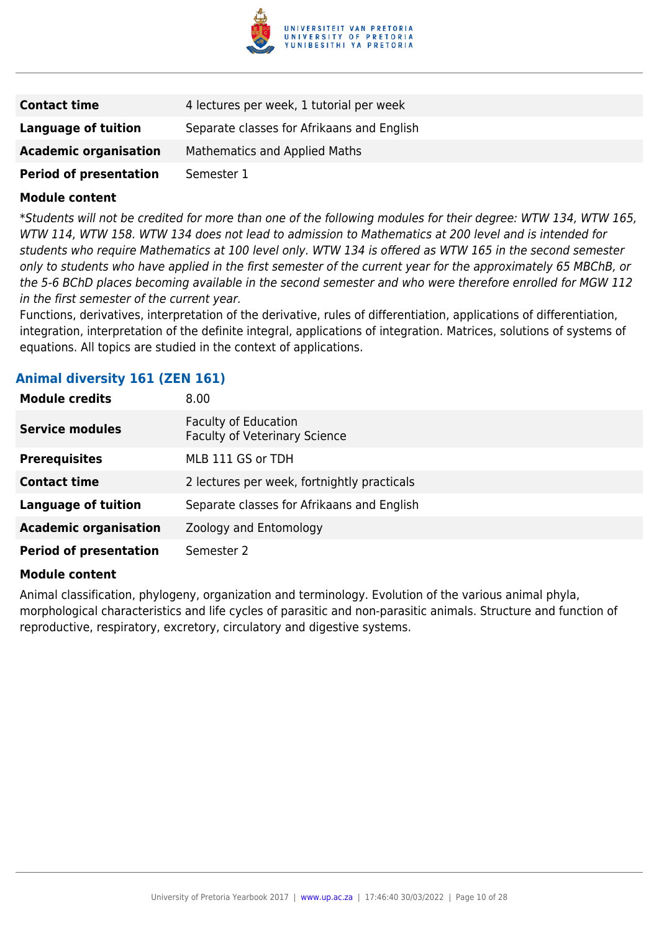

| <b>Contact time</b>           | 4 lectures per week, 1 tutorial per week   |
|-------------------------------|--------------------------------------------|
| Language of tuition           | Separate classes for Afrikaans and English |
| <b>Academic organisation</b>  | <b>Mathematics and Applied Maths</b>       |
| <b>Period of presentation</b> | Semester 1                                 |

\*Students will not be credited for more than one of the following modules for their degree: WTW 134, WTW 165, WTW 114, WTW 158. WTW 134 does not lead to admission to Mathematics at 200 level and is intended for students who require Mathematics at 100 level only. WTW 134 is offered as WTW 165 in the second semester only to students who have applied in the first semester of the current year for the approximately 65 MBChB, or the 5-6 BChD places becoming available in the second semester and who were therefore enrolled for MGW 112 in the first semester of the current year.

Functions, derivatives, interpretation of the derivative, rules of differentiation, applications of differentiation, integration, interpretation of the definite integral, applications of integration. Matrices, solutions of systems of equations. All topics are studied in the context of applications.

#### **Animal diversity 161 (ZEN 161)**

| <b>Module credits</b>         | 8.00                                                         |
|-------------------------------|--------------------------------------------------------------|
| <b>Service modules</b>        | Faculty of Education<br><b>Faculty of Veterinary Science</b> |
| <b>Prerequisites</b>          | MLB 111 GS or TDH                                            |
| <b>Contact time</b>           | 2 lectures per week, fortnightly practicals                  |
| <b>Language of tuition</b>    | Separate classes for Afrikaans and English                   |
| <b>Academic organisation</b>  | Zoology and Entomology                                       |
| <b>Period of presentation</b> | Semester 2                                                   |

#### **Module content**

Animal classification, phylogeny, organization and terminology. Evolution of the various animal phyla, morphological characteristics and life cycles of parasitic and non-parasitic animals. Structure and function of reproductive, respiratory, excretory, circulatory and digestive systems.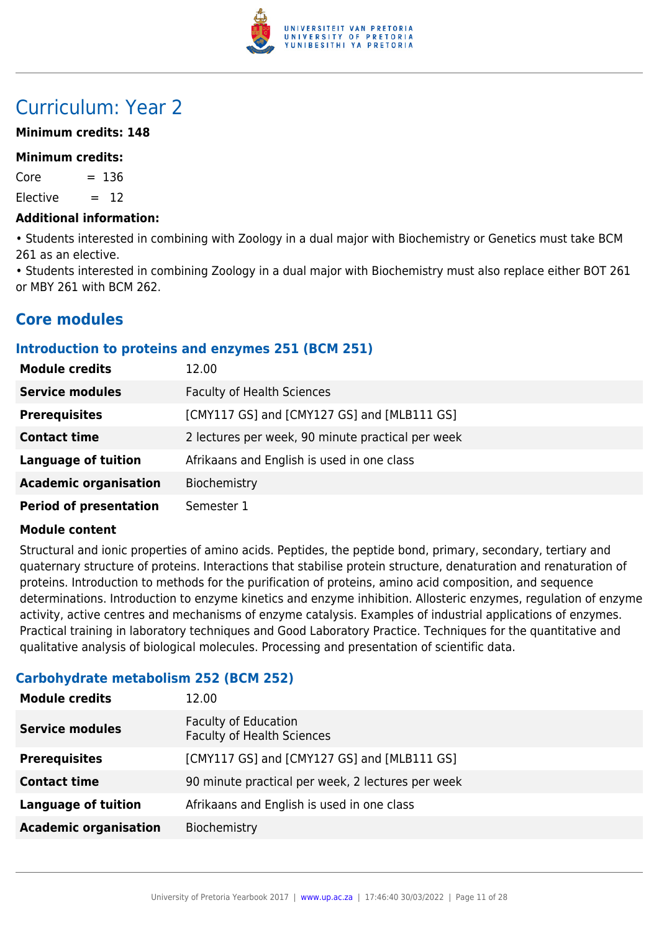

# Curriculum: Year 2

#### **Minimum credits: 148**

#### **Minimum credits:**

 $Core = 136$ 

 $Elective = 12$ 

#### **Additional information:**

• Students interested in combining with Zoology in a dual major with Biochemistry or Genetics must take BCM 261 as an elective.

• Students interested in combining Zoology in a dual major with Biochemistry must also replace either BOT 261 or MBY 261 with BCM 262.

# **Core modules**

#### **Introduction to proteins and enzymes 251 (BCM 251)**

| <b>Module credits</b>         | 12.00                                             |
|-------------------------------|---------------------------------------------------|
| <b>Service modules</b>        | <b>Faculty of Health Sciences</b>                 |
| <b>Prerequisites</b>          | [CMY117 GS] and [CMY127 GS] and [MLB111 GS]       |
| <b>Contact time</b>           | 2 lectures per week, 90 minute practical per week |
| <b>Language of tuition</b>    | Afrikaans and English is used in one class        |
| <b>Academic organisation</b>  | Biochemistry                                      |
| <b>Period of presentation</b> | Semester 1                                        |

#### **Module content**

Structural and ionic properties of amino acids. Peptides, the peptide bond, primary, secondary, tertiary and quaternary structure of proteins. Interactions that stabilise protein structure, denaturation and renaturation of proteins. Introduction to methods for the purification of proteins, amino acid composition, and sequence determinations. Introduction to enzyme kinetics and enzyme inhibition. Allosteric enzymes, regulation of enzyme activity, active centres and mechanisms of enzyme catalysis. Examples of industrial applications of enzymes. Practical training in laboratory techniques and Good Laboratory Practice. Techniques for the quantitative and qualitative analysis of biological molecules. Processing and presentation of scientific data.

#### **Carbohydrate metabolism 252 (BCM 252)**

| <b>Module credits</b>        | 12.00                                                            |
|------------------------------|------------------------------------------------------------------|
| <b>Service modules</b>       | <b>Faculty of Education</b><br><b>Faculty of Health Sciences</b> |
| <b>Prerequisites</b>         | [CMY117 GS] and [CMY127 GS] and [MLB111 GS]                      |
| <b>Contact time</b>          | 90 minute practical per week, 2 lectures per week                |
| <b>Language of tuition</b>   | Afrikaans and English is used in one class                       |
| <b>Academic organisation</b> | Biochemistry                                                     |
|                              |                                                                  |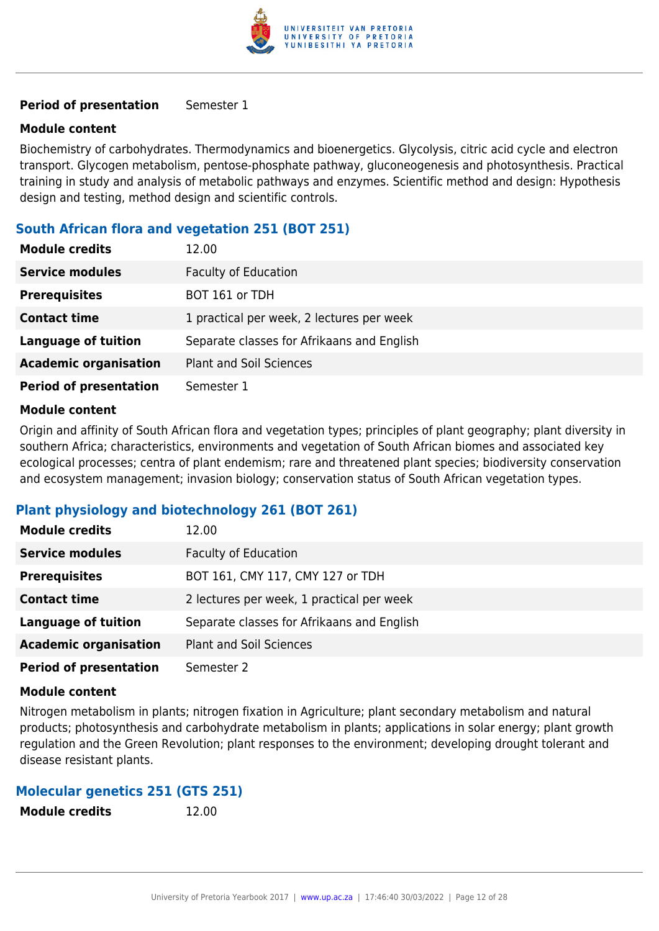

#### **Module content**

Biochemistry of carbohydrates. Thermodynamics and bioenergetics. Glycolysis, citric acid cycle and electron transport. Glycogen metabolism, pentose-phosphate pathway, gluconeogenesis and photosynthesis. Practical training in study and analysis of metabolic pathways and enzymes. Scientific method and design: Hypothesis design and testing, method design and scientific controls.

#### **South African flora and vegetation 251 (BOT 251)**

| <b>Module credits</b>         | 12.00                                      |
|-------------------------------|--------------------------------------------|
| <b>Service modules</b>        | <b>Faculty of Education</b>                |
| <b>Prerequisites</b>          | BOT 161 or TDH                             |
| <b>Contact time</b>           | 1 practical per week, 2 lectures per week  |
| <b>Language of tuition</b>    | Separate classes for Afrikaans and English |
| <b>Academic organisation</b>  | <b>Plant and Soil Sciences</b>             |
| <b>Period of presentation</b> | Semester 1                                 |

#### **Module content**

Origin and affinity of South African flora and vegetation types; principles of plant geography; plant diversity in southern Africa; characteristics, environments and vegetation of South African biomes and associated key ecological processes; centra of plant endemism; rare and threatened plant species; biodiversity conservation and ecosystem management; invasion biology; conservation status of South African vegetation types.

#### **Plant physiology and biotechnology 261 (BOT 261)**

| <b>Module credits</b>         | 12.00                                      |
|-------------------------------|--------------------------------------------|
| <b>Service modules</b>        | <b>Faculty of Education</b>                |
| <b>Prerequisites</b>          | BOT 161, CMY 117, CMY 127 or TDH           |
| <b>Contact time</b>           | 2 lectures per week, 1 practical per week  |
| <b>Language of tuition</b>    | Separate classes for Afrikaans and English |
| <b>Academic organisation</b>  | <b>Plant and Soil Sciences</b>             |
| <b>Period of presentation</b> | Semester 2                                 |

#### **Module content**

Nitrogen metabolism in plants; nitrogen fixation in Agriculture; plant secondary metabolism and natural products; photosynthesis and carbohydrate metabolism in plants; applications in solar energy; plant growth regulation and the Green Revolution; plant responses to the environment; developing drought tolerant and disease resistant plants.

#### **Molecular genetics 251 (GTS 251)**

| <b>Module credits</b> | 12.00 |
|-----------------------|-------|
|                       |       |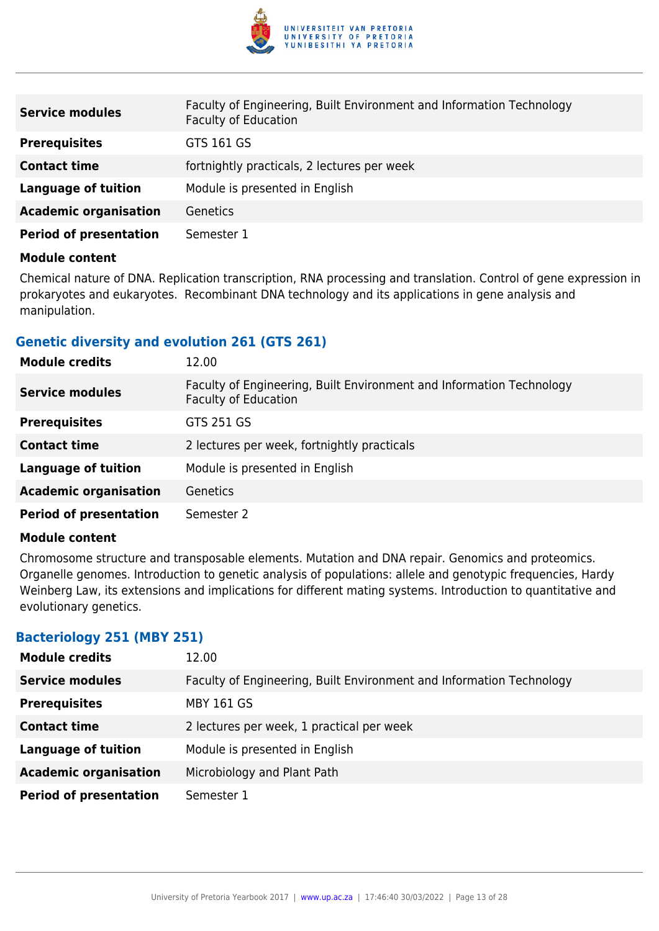

| <b>Service modules</b>        | Faculty of Engineering, Built Environment and Information Technology<br><b>Faculty of Education</b> |
|-------------------------------|-----------------------------------------------------------------------------------------------------|
| <b>Prerequisites</b>          | GTS 161 GS                                                                                          |
| <b>Contact time</b>           | fortnightly practicals, 2 lectures per week                                                         |
| <b>Language of tuition</b>    | Module is presented in English                                                                      |
| <b>Academic organisation</b>  | <b>Genetics</b>                                                                                     |
| <b>Period of presentation</b> | Semester 1                                                                                          |

Chemical nature of DNA. Replication transcription, RNA processing and translation. Control of gene expression in prokaryotes and eukaryotes. Recombinant DNA technology and its applications in gene analysis and manipulation.

#### **Genetic diversity and evolution 261 (GTS 261)**

| <b>Module credits</b>         | 12.00                                                                                               |
|-------------------------------|-----------------------------------------------------------------------------------------------------|
| <b>Service modules</b>        | Faculty of Engineering, Built Environment and Information Technology<br><b>Faculty of Education</b> |
| <b>Prerequisites</b>          | GTS 251 GS                                                                                          |
| <b>Contact time</b>           | 2 lectures per week, fortnightly practicals                                                         |
| <b>Language of tuition</b>    | Module is presented in English                                                                      |
| <b>Academic organisation</b>  | <b>Genetics</b>                                                                                     |
| <b>Period of presentation</b> | Semester 2                                                                                          |

#### **Module content**

Chromosome structure and transposable elements. Mutation and DNA repair. Genomics and proteomics. Organelle genomes. Introduction to genetic analysis of populations: allele and genotypic frequencies, Hardy Weinberg Law, its extensions and implications for different mating systems. Introduction to quantitative and evolutionary genetics.

#### **Bacteriology 251 (MBY 251)**

| <b>Module credits</b>         | 12.00                                                                |
|-------------------------------|----------------------------------------------------------------------|
| <b>Service modules</b>        | Faculty of Engineering, Built Environment and Information Technology |
| <b>Prerequisites</b>          | <b>MBY 161 GS</b>                                                    |
| <b>Contact time</b>           | 2 lectures per week, 1 practical per week                            |
| <b>Language of tuition</b>    | Module is presented in English                                       |
| <b>Academic organisation</b>  | Microbiology and Plant Path                                          |
| <b>Period of presentation</b> | Semester 1                                                           |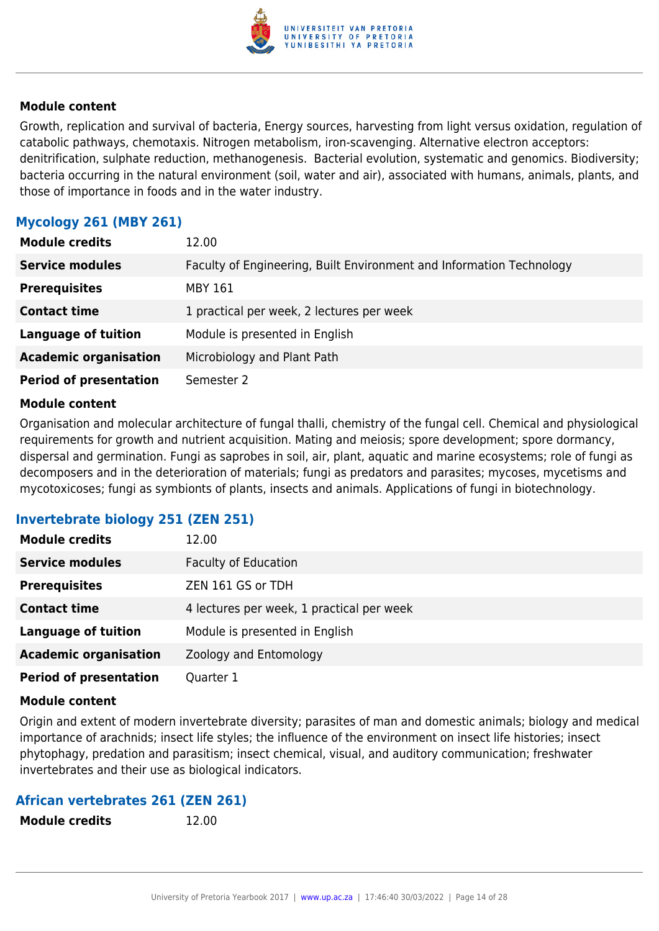

Growth, replication and survival of bacteria, Energy sources, harvesting from light versus oxidation, regulation of catabolic pathways, chemotaxis. Nitrogen metabolism, iron-scavenging. Alternative electron acceptors: denitrification, sulphate reduction, methanogenesis. Bacterial evolution, systematic and genomics. Biodiversity; bacteria occurring in the natural environment (soil, water and air), associated with humans, animals, plants, and those of importance in foods and in the water industry.

#### **Mycology 261 (MBY 261)**

| <b>Module credits</b>         | 12.00                                                                |
|-------------------------------|----------------------------------------------------------------------|
| <b>Service modules</b>        | Faculty of Engineering, Built Environment and Information Technology |
| <b>Prerequisites</b>          | MBY 161                                                              |
| <b>Contact time</b>           | 1 practical per week, 2 lectures per week                            |
| <b>Language of tuition</b>    | Module is presented in English                                       |
| <b>Academic organisation</b>  | Microbiology and Plant Path                                          |
| <b>Period of presentation</b> | Semester 2                                                           |

#### **Module content**

Organisation and molecular architecture of fungal thalli, chemistry of the fungal cell. Chemical and physiological requirements for growth and nutrient acquisition. Mating and meiosis; spore development; spore dormancy, dispersal and germination. Fungi as saprobes in soil, air, plant, aquatic and marine ecosystems; role of fungi as decomposers and in the deterioration of materials; fungi as predators and parasites; mycoses, mycetisms and mycotoxicoses; fungi as symbionts of plants, insects and animals. Applications of fungi in biotechnology.

#### **Invertebrate biology 251 (ZEN 251)**

| <b>Module credits</b>         | 12.00                                     |
|-------------------------------|-------------------------------------------|
| <b>Service modules</b>        | <b>Faculty of Education</b>               |
| <b>Prerequisites</b>          | ZEN 161 GS or TDH                         |
| <b>Contact time</b>           | 4 lectures per week, 1 practical per week |
| <b>Language of tuition</b>    | Module is presented in English            |
| <b>Academic organisation</b>  | Zoology and Entomology                    |
| <b>Period of presentation</b> | Quarter 1                                 |

#### **Module content**

Origin and extent of modern invertebrate diversity; parasites of man and domestic animals; biology and medical importance of arachnids; insect life styles; the influence of the environment on insect life histories; insect phytophagy, predation and parasitism; insect chemical, visual, and auditory communication; freshwater invertebrates and their use as biological indicators.

#### **African vertebrates 261 (ZEN 261)**

**Module credits** 12.00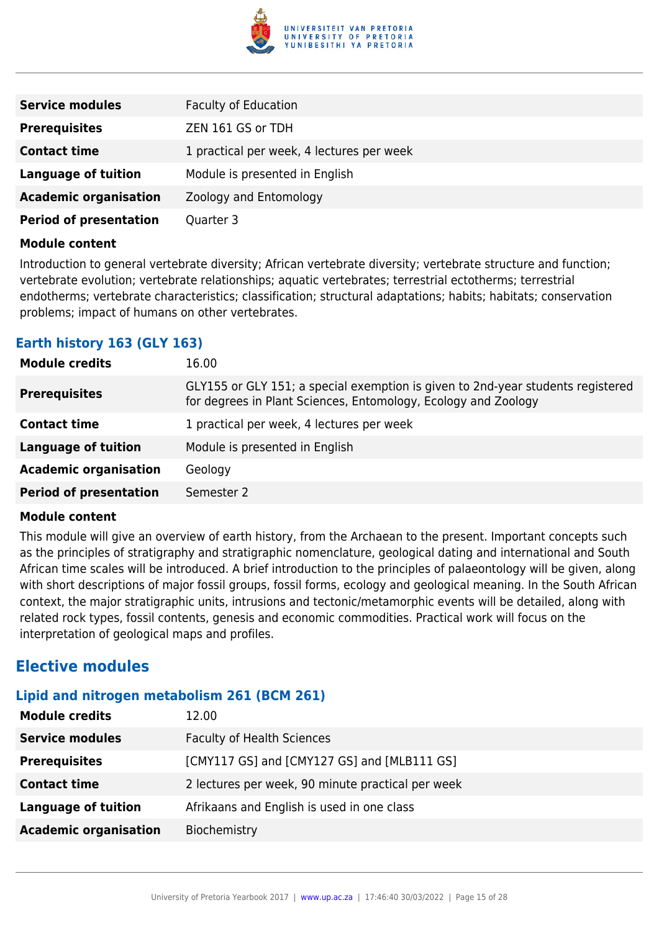

| <b>Service modules</b>        | <b>Faculty of Education</b>               |
|-------------------------------|-------------------------------------------|
| <b>Prerequisites</b>          | ZEN 161 GS or TDH                         |
| <b>Contact time</b>           | 1 practical per week, 4 lectures per week |
| <b>Language of tuition</b>    | Module is presented in English            |
| <b>Academic organisation</b>  | Zoology and Entomology                    |
| <b>Period of presentation</b> | Quarter 3                                 |

Introduction to general vertebrate diversity; African vertebrate diversity; vertebrate structure and function; vertebrate evolution; vertebrate relationships; aquatic vertebrates; terrestrial ectotherms; terrestrial endotherms; vertebrate characteristics; classification; structural adaptations; habits; habitats; conservation problems; impact of humans on other vertebrates.

#### **Earth history 163 (GLY 163)**

| <b>Module credits</b>         | 16.00                                                                                                                                             |
|-------------------------------|---------------------------------------------------------------------------------------------------------------------------------------------------|
| <b>Prerequisites</b>          | GLY155 or GLY 151; a special exemption is given to 2nd-year students registered<br>for degrees in Plant Sciences, Entomology, Ecology and Zoology |
| <b>Contact time</b>           | 1 practical per week, 4 lectures per week                                                                                                         |
| <b>Language of tuition</b>    | Module is presented in English                                                                                                                    |
| <b>Academic organisation</b>  | Geology                                                                                                                                           |
| <b>Period of presentation</b> | Semester 2                                                                                                                                        |

#### **Module content**

This module will give an overview of earth history, from the Archaean to the present. Important concepts such as the principles of stratigraphy and stratigraphic nomenclature, geological dating and international and South African time scales will be introduced. A brief introduction to the principles of palaeontology will be given, along with short descriptions of major fossil groups, fossil forms, ecology and geological meaning. In the South African context, the major stratigraphic units, intrusions and tectonic/metamorphic events will be detailed, along with related rock types, fossil contents, genesis and economic commodities. Practical work will focus on the interpretation of geological maps and profiles.

### **Elective modules**

### **Lipid and nitrogen metabolism 261 (BCM 261)**

| <b>Module credits</b>        | 12.00                                             |
|------------------------------|---------------------------------------------------|
| <b>Service modules</b>       | <b>Faculty of Health Sciences</b>                 |
| <b>Prerequisites</b>         | [CMY117 GS] and [CMY127 GS] and [MLB111 GS]       |
| <b>Contact time</b>          | 2 lectures per week, 90 minute practical per week |
| <b>Language of tuition</b>   | Afrikaans and English is used in one class        |
| <b>Academic organisation</b> | Biochemistry                                      |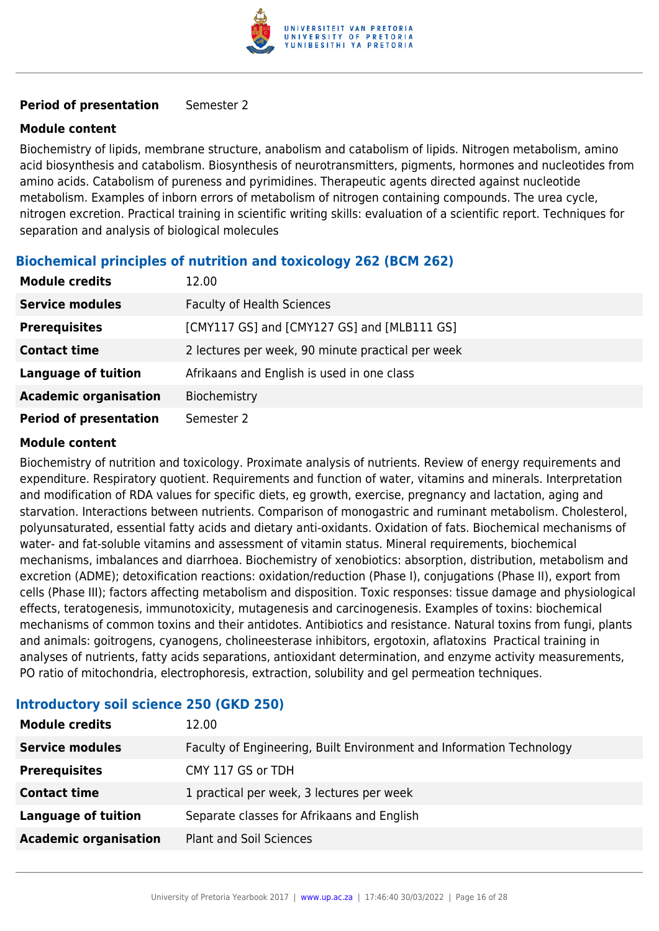

#### **Module content**

Biochemistry of lipids, membrane structure, anabolism and catabolism of lipids. Nitrogen metabolism, amino acid biosynthesis and catabolism. Biosynthesis of neurotransmitters, pigments, hormones and nucleotides from amino acids. Catabolism of pureness and pyrimidines. Therapeutic agents directed against nucleotide metabolism. Examples of inborn errors of metabolism of nitrogen containing compounds. The urea cycle, nitrogen excretion. Practical training in scientific writing skills: evaluation of a scientific report. Techniques for separation and analysis of biological molecules

# **Biochemical principles of nutrition and toxicology 262 (BCM 262) Module credits** 12.00 **Service modules** Faculty of Health Sciences **Prerequisites** [CMY117 GS] and [CMY127 GS] and [MLB111 GS] **Contact time** 2 lectures per week, 90 minute practical per week **Language of tuition** Afrikaans and English is used in one class **Academic organisation** Biochemistry **Period of presentation** Semester 2

### **Module content**

Biochemistry of nutrition and toxicology. Proximate analysis of nutrients. Review of energy requirements and expenditure. Respiratory quotient. Requirements and function of water, vitamins and minerals. Interpretation and modification of RDA values for specific diets, eg growth, exercise, pregnancy and lactation, aging and starvation. Interactions between nutrients. Comparison of monogastric and ruminant metabolism. Cholesterol, polyunsaturated, essential fatty acids and dietary anti-oxidants. Oxidation of fats. Biochemical mechanisms of water- and fat-soluble vitamins and assessment of vitamin status. Mineral requirements, biochemical mechanisms, imbalances and diarrhoea. Biochemistry of xenobiotics: absorption, distribution, metabolism and excretion (ADME); detoxification reactions: oxidation/reduction (Phase I), conjugations (Phase II), export from cells (Phase III); factors affecting metabolism and disposition. Toxic responses: tissue damage and physiological effects, teratogenesis, immunotoxicity, mutagenesis and carcinogenesis. Examples of toxins: biochemical mechanisms of common toxins and their antidotes. Antibiotics and resistance. Natural toxins from fungi, plants and animals: goitrogens, cyanogens, cholineesterase inhibitors, ergotoxin, aflatoxins Practical training in analyses of nutrients, fatty acids separations, antioxidant determination, and enzyme activity measurements, PO ratio of mitochondria, electrophoresis, extraction, solubility and gel permeation techniques.

| <b>Module credits</b>        | 12.00                                                                |
|------------------------------|----------------------------------------------------------------------|
| <b>Service modules</b>       | Faculty of Engineering, Built Environment and Information Technology |
| <b>Prerequisites</b>         | CMY 117 GS or TDH                                                    |
| <b>Contact time</b>          | 1 practical per week, 3 lectures per week                            |
| <b>Language of tuition</b>   | Separate classes for Afrikaans and English                           |
| <b>Academic organisation</b> | <b>Plant and Soil Sciences</b>                                       |

# **Introductory soil science 250 (GKD 250)**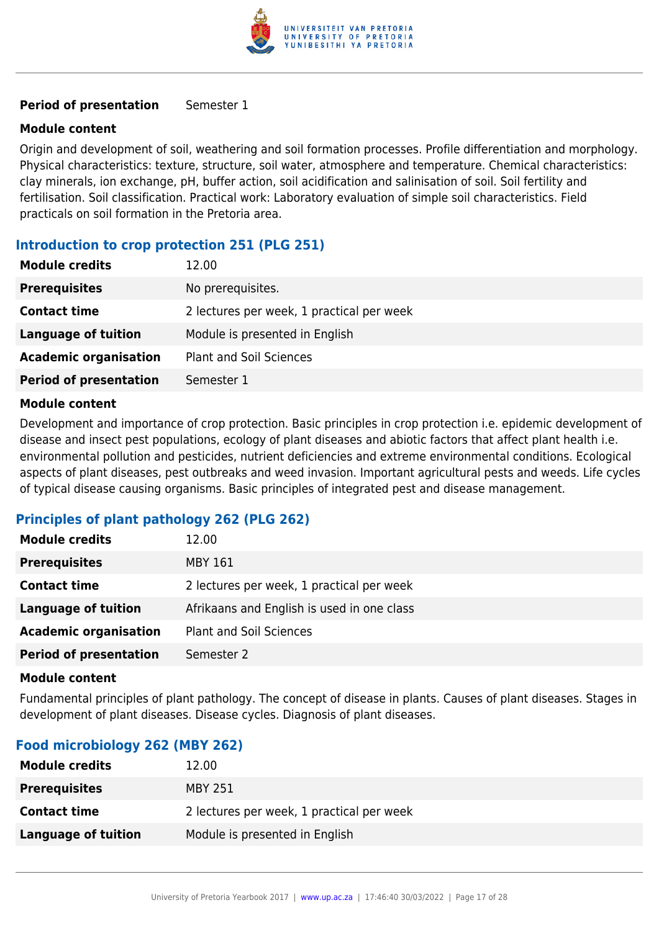

#### **Module content**

Origin and development of soil, weathering and soil formation processes. Profile differentiation and morphology. Physical characteristics: texture, structure, soil water, atmosphere and temperature. Chemical characteristics: clay minerals, ion exchange, pH, buffer action, soil acidification and salinisation of soil. Soil fertility and fertilisation. Soil classification. Practical work: Laboratory evaluation of simple soil characteristics. Field practicals on soil formation in the Pretoria area.

#### **Introduction to crop protection 251 (PLG 251)**

| <b>Module credits</b>         | 12.00                                     |
|-------------------------------|-------------------------------------------|
| <b>Prerequisites</b>          | No prerequisites.                         |
| <b>Contact time</b>           | 2 lectures per week, 1 practical per week |
| Language of tuition           | Module is presented in English            |
| <b>Academic organisation</b>  | <b>Plant and Soil Sciences</b>            |
| <b>Period of presentation</b> | Semester 1                                |
|                               |                                           |

#### **Module content**

Development and importance of crop protection. Basic principles in crop protection i.e. epidemic development of disease and insect pest populations, ecology of plant diseases and abiotic factors that affect plant health i.e. environmental pollution and pesticides, nutrient deficiencies and extreme environmental conditions. Ecological aspects of plant diseases, pest outbreaks and weed invasion. Important agricultural pests and weeds. Life cycles of typical disease causing organisms. Basic principles of integrated pest and disease management.

#### **Principles of plant pathology 262 (PLG 262)**

| <b>Module credits</b>         | 12.00                                      |
|-------------------------------|--------------------------------------------|
| <b>Prerequisites</b>          | MBY 161                                    |
| <b>Contact time</b>           | 2 lectures per week, 1 practical per week  |
| Language of tuition           | Afrikaans and English is used in one class |
| <b>Academic organisation</b>  | <b>Plant and Soil Sciences</b>             |
| <b>Period of presentation</b> | Semester 2                                 |

#### **Module content**

Fundamental principles of plant pathology. The concept of disease in plants. Causes of plant diseases. Stages in development of plant diseases. Disease cycles. Diagnosis of plant diseases.

#### **Food microbiology 262 (MBY 262)**

| <b>Module credits</b> | 12.00                                     |
|-----------------------|-------------------------------------------|
| <b>Prerequisites</b>  | MBY 251                                   |
| <b>Contact time</b>   | 2 lectures per week, 1 practical per week |
| Language of tuition   | Module is presented in English            |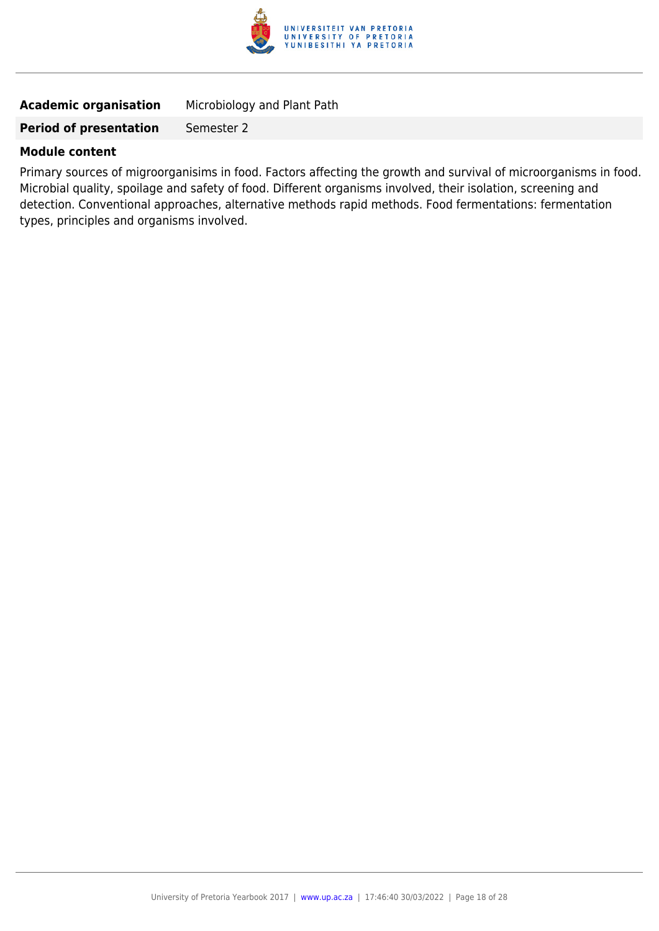

| <b>Academic organisation</b> | Microbiology and Plant Path |
|------------------------------|-----------------------------|
|------------------------------|-----------------------------|

#### **Module content**

Primary sources of migroorganisims in food. Factors affecting the growth and survival of microorganisms in food. Microbial quality, spoilage and safety of food. Different organisms involved, their isolation, screening and detection. Conventional approaches, alternative methods rapid methods. Food fermentations: fermentation types, principles and organisms involved.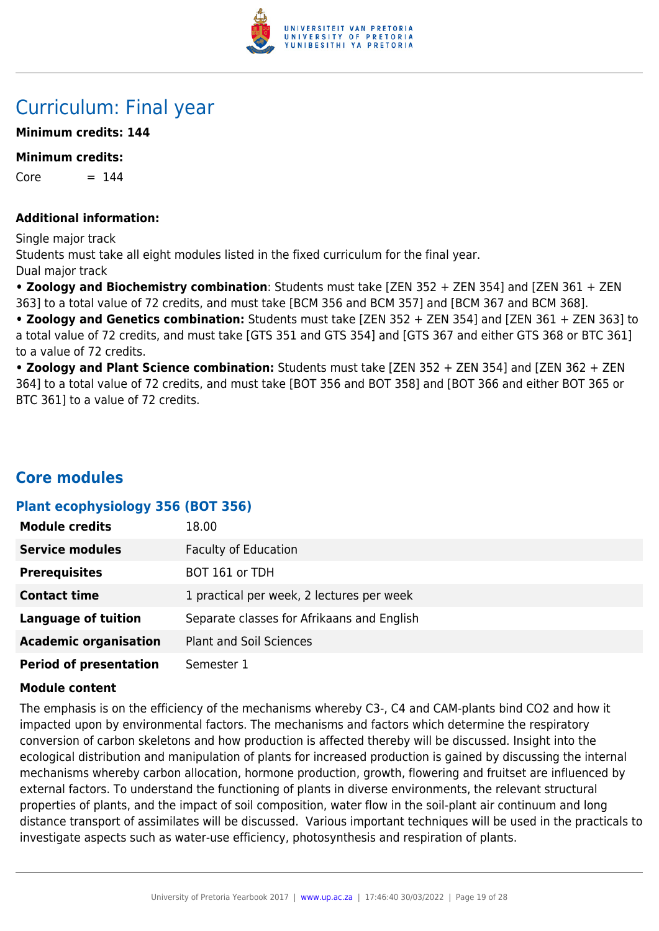

# Curriculum: Final year

#### **Minimum credits: 144**

#### **Minimum credits:**

 $Core = 144$ 

#### **Additional information:**

Single major track Students must take all eight modules listed in the fixed curriculum for the final year. Dual major track

**• Zoology and Biochemistry combination**: Students must take [ZEN 352 + ZEN 354] and [ZEN 361 + ZEN 363] to a total value of 72 credits, and must take [BCM 356 and BCM 357] and [BCM 367 and BCM 368].

**• Zoology and Genetics combination:** Students must take [ZEN 352 + ZEN 354] and [ZEN 361 + ZEN 363] to a total value of 72 credits, and must take [GTS 351 and GTS 354] and [GTS 367 and either GTS 368 or BTC 361] to a value of 72 credits.

**• Zoology and Plant Science combination:** Students must take [ZEN 352 + ZEN 354] and [ZEN 362 + ZEN 364] to a total value of 72 credits, and must take [BOT 356 and BOT 358] and [BOT 366 and either BOT 365 or BTC 361] to a value of 72 credits.

# **Core modules**

#### **Plant ecophysiology 356 (BOT 356)**

| <b>Module credits</b>         | 18.00                                      |
|-------------------------------|--------------------------------------------|
| <b>Service modules</b>        | <b>Faculty of Education</b>                |
| <b>Prerequisites</b>          | BOT 161 or TDH                             |
| <b>Contact time</b>           | 1 practical per week, 2 lectures per week  |
| <b>Language of tuition</b>    | Separate classes for Afrikaans and English |
| <b>Academic organisation</b>  | <b>Plant and Soil Sciences</b>             |
| <b>Period of presentation</b> | Semester 1                                 |

#### **Module content**

The emphasis is on the efficiency of the mechanisms whereby C3-, C4 and CAM-plants bind CO2 and how it impacted upon by environmental factors. The mechanisms and factors which determine the respiratory conversion of carbon skeletons and how production is affected thereby will be discussed. Insight into the ecological distribution and manipulation of plants for increased production is gained by discussing the internal mechanisms whereby carbon allocation, hormone production, growth, flowering and fruitset are influenced by external factors. To understand the functioning of plants in diverse environments, the relevant structural properties of plants, and the impact of soil composition, water flow in the soil-plant air continuum and long distance transport of assimilates will be discussed. Various important techniques will be used in the practicals to investigate aspects such as water-use efficiency, photosynthesis and respiration of plants.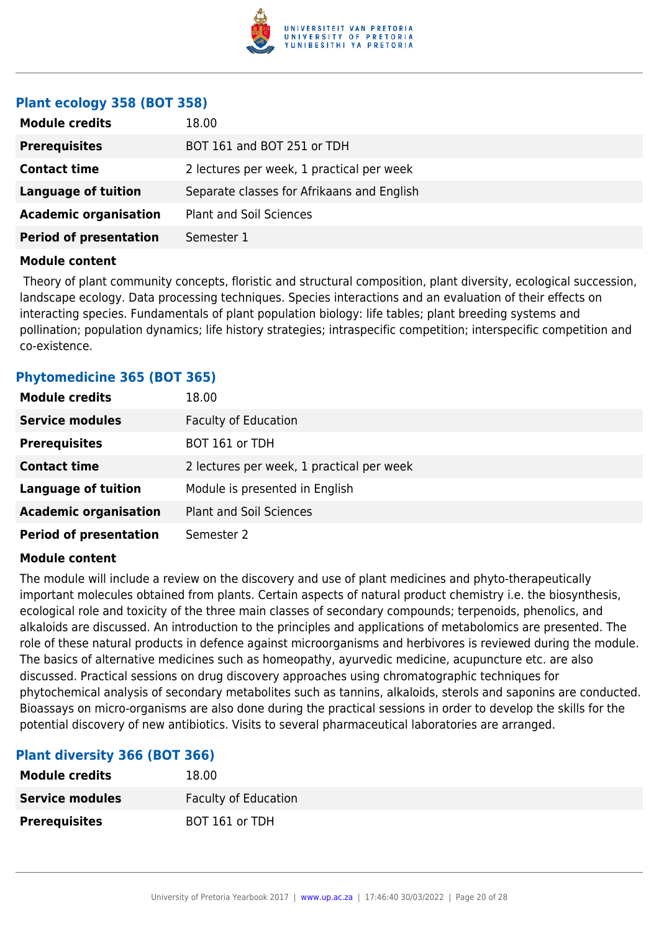

#### **Plant ecology 358 (BOT 358)**

| <b>Module credits</b>         | 18.00                                      |
|-------------------------------|--------------------------------------------|
| <b>Prerequisites</b>          | BOT 161 and BOT 251 or TDH                 |
| <b>Contact time</b>           | 2 lectures per week, 1 practical per week  |
| <b>Language of tuition</b>    | Separate classes for Afrikaans and English |
| <b>Academic organisation</b>  | <b>Plant and Soil Sciences</b>             |
| <b>Period of presentation</b> | Semester 1                                 |

#### **Module content**

 Theory of plant community concepts, floristic and structural composition, plant diversity, ecological succession, landscape ecology. Data processing techniques. Species interactions and an evaluation of their effects on interacting species. Fundamentals of plant population biology: life tables; plant breeding systems and pollination; population dynamics; life history strategies; intraspecific competition; interspecific competition and co-existence.

#### **Phytomedicine 365 (BOT 365)**

| <b>Module credits</b>         | 18.00                                     |
|-------------------------------|-------------------------------------------|
| <b>Service modules</b>        | <b>Faculty of Education</b>               |
| <b>Prerequisites</b>          | BOT 161 or TDH                            |
| <b>Contact time</b>           | 2 lectures per week, 1 practical per week |
| <b>Language of tuition</b>    | Module is presented in English            |
| <b>Academic organisation</b>  | Plant and Soil Sciences                   |
| <b>Period of presentation</b> | Semester 2                                |

#### **Module content**

The module will include a review on the discovery and use of plant medicines and phyto-therapeutically important molecules obtained from plants. Certain aspects of natural product chemistry i.e. the biosynthesis, ecological role and toxicity of the three main classes of secondary compounds; terpenoids, phenolics, and alkaloids are discussed. An introduction to the principles and applications of metabolomics are presented. The role of these natural products in defence against microorganisms and herbivores is reviewed during the module. The basics of alternative medicines such as homeopathy, ayurvedic medicine, acupuncture etc. are also discussed. Practical sessions on drug discovery approaches using chromatographic techniques for phytochemical analysis of secondary metabolites such as tannins, alkaloids, sterols and saponins are conducted. Bioassays on micro-organisms are also done during the practical sessions in order to develop the skills for the potential discovery of new antibiotics. Visits to several pharmaceutical laboratories are arranged.

#### **Plant diversity 366 (BOT 366)**

| <b>Module credits</b> | 18.00                       |
|-----------------------|-----------------------------|
| Service modules       | <b>Faculty of Education</b> |
| <b>Prerequisites</b>  | BOT 161 or TDH              |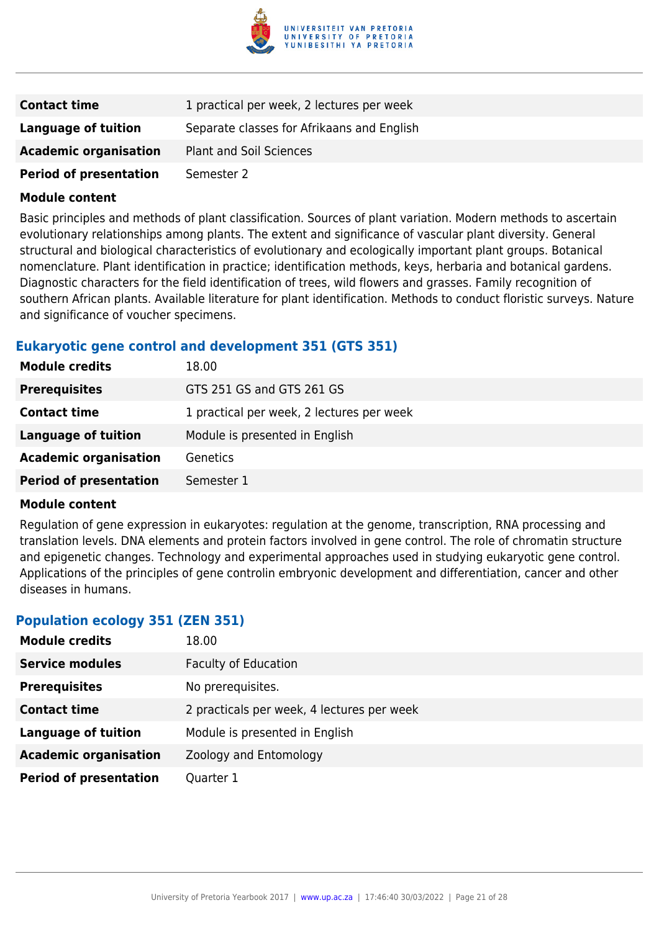

| <b>Contact time</b>           | 1 practical per week, 2 lectures per week  |
|-------------------------------|--------------------------------------------|
| Language of tuition           | Separate classes for Afrikaans and English |
| <b>Academic organisation</b>  | <b>Plant and Soil Sciences</b>             |
| <b>Period of presentation</b> | Semester 2                                 |

Basic principles and methods of plant classification. Sources of plant variation. Modern methods to ascertain evolutionary relationships among plants. The extent and significance of vascular plant diversity. General structural and biological characteristics of evolutionary and ecologically important plant groups. Botanical nomenclature. Plant identification in practice; identification methods, keys, herbaria and botanical gardens. Diagnostic characters for the field identification of trees, wild flowers and grasses. Family recognition of southern African plants. Available literature for plant identification. Methods to conduct floristic surveys. Nature and significance of voucher specimens.

#### **Eukaryotic gene control and development 351 (GTS 351)**

| <b>Module credits</b>         | 18.00                                     |
|-------------------------------|-------------------------------------------|
| <b>Prerequisites</b>          | GTS 251 GS and GTS 261 GS                 |
| <b>Contact time</b>           | 1 practical per week, 2 lectures per week |
| <b>Language of tuition</b>    | Module is presented in English            |
| <b>Academic organisation</b>  | <b>Genetics</b>                           |
| <b>Period of presentation</b> | Semester 1                                |

#### **Module content**

Regulation of gene expression in eukaryotes: regulation at the genome, transcription, RNA processing and translation levels. DNA elements and protein factors involved in gene control. The role of chromatin structure and epigenetic changes. Technology and experimental approaches used in studying eukaryotic gene control. Applications of the principles of gene controlin embryonic development and differentiation, cancer and other diseases in humans.

#### **Population ecology 351 (ZEN 351)**

| <b>Module credits</b>         | 18.00                                      |
|-------------------------------|--------------------------------------------|
| <b>Service modules</b>        | <b>Faculty of Education</b>                |
| <b>Prerequisites</b>          | No prerequisites.                          |
| <b>Contact time</b>           | 2 practicals per week, 4 lectures per week |
| <b>Language of tuition</b>    | Module is presented in English             |
| <b>Academic organisation</b>  | Zoology and Entomology                     |
| <b>Period of presentation</b> | Quarter 1                                  |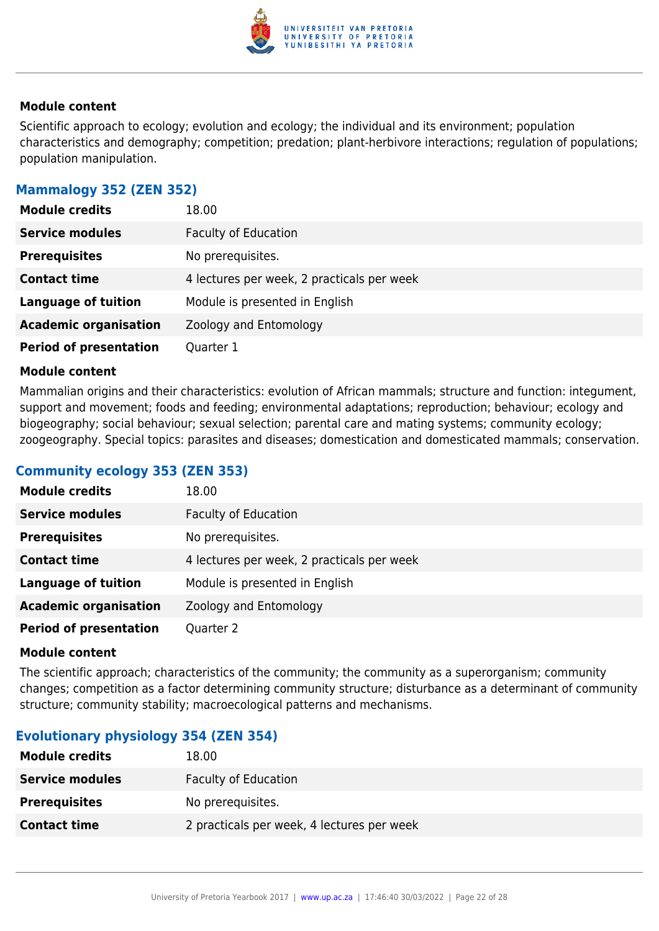

Scientific approach to ecology; evolution and ecology; the individual and its environment; population characteristics and demography; competition; predation; plant-herbivore interactions; regulation of populations; population manipulation.

#### **Mammalogy 352 (ZEN 352)**

| <b>Module credits</b>         | 18.00                                      |
|-------------------------------|--------------------------------------------|
| <b>Service modules</b>        | <b>Faculty of Education</b>                |
| <b>Prerequisites</b>          | No prerequisites.                          |
| <b>Contact time</b>           | 4 lectures per week, 2 practicals per week |
| <b>Language of tuition</b>    | Module is presented in English             |
| <b>Academic organisation</b>  | Zoology and Entomology                     |
| <b>Period of presentation</b> | Quarter 1                                  |

#### **Module content**

Mammalian origins and their characteristics: evolution of African mammals; structure and function: integument, support and movement; foods and feeding; environmental adaptations; reproduction; behaviour; ecology and biogeography; social behaviour; sexual selection; parental care and mating systems; community ecology; zoogeography. Special topics: parasites and diseases; domestication and domesticated mammals; conservation.

#### **Community ecology 353 (ZEN 353)**

| <b>Module credits</b>         | 18.00                                      |
|-------------------------------|--------------------------------------------|
| <b>Service modules</b>        | <b>Faculty of Education</b>                |
| <b>Prerequisites</b>          | No prerequisites.                          |
| <b>Contact time</b>           | 4 lectures per week, 2 practicals per week |
| <b>Language of tuition</b>    | Module is presented in English             |
| <b>Academic organisation</b>  | Zoology and Entomology                     |
| <b>Period of presentation</b> | Quarter 2                                  |

#### **Module content**

The scientific approach; characteristics of the community; the community as a superorganism; community changes; competition as a factor determining community structure; disturbance as a determinant of community structure; community stability; macroecological patterns and mechanisms.

#### **Evolutionary physiology 354 (ZEN 354)**

| <b>Module credits</b>  | 18.00                                      |
|------------------------|--------------------------------------------|
| <b>Service modules</b> | Faculty of Education                       |
| <b>Prerequisites</b>   | No prerequisites.                          |
| <b>Contact time</b>    | 2 practicals per week, 4 lectures per week |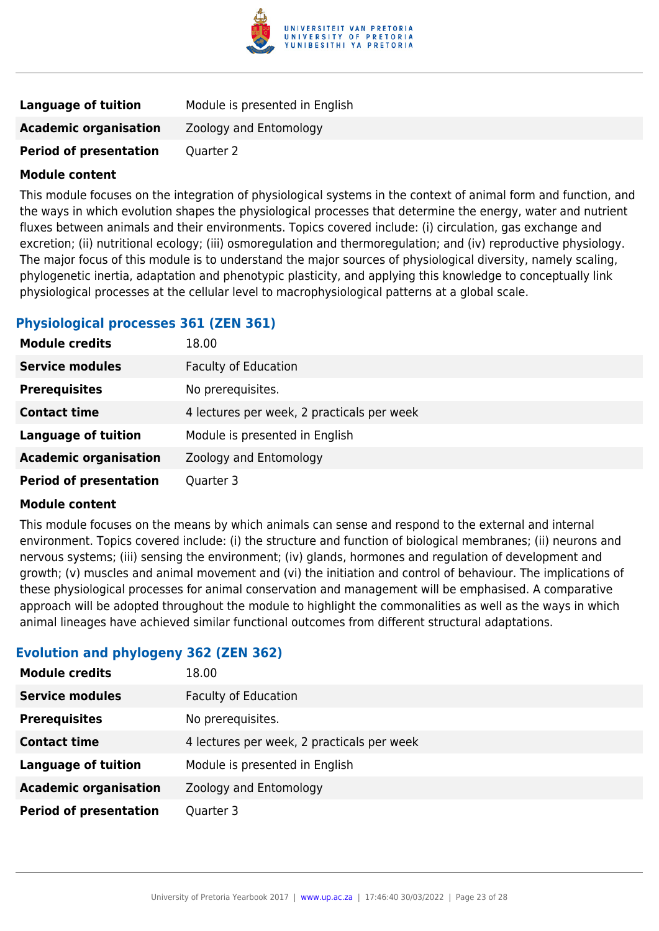

| Language of tuition           | Module is presented in English |
|-------------------------------|--------------------------------|
| <b>Academic organisation</b>  | Zoology and Entomology         |
| <b>Period of presentation</b> | Quarter 2                      |

This module focuses on the integration of physiological systems in the context of animal form and function, and the ways in which evolution shapes the physiological processes that determine the energy, water and nutrient fluxes between animals and their environments. Topics covered include: (i) circulation, gas exchange and excretion; (ii) nutritional ecology; (iii) osmoregulation and thermoregulation; and (iv) reproductive physiology. The major focus of this module is to understand the major sources of physiological diversity, namely scaling, phylogenetic inertia, adaptation and phenotypic plasticity, and applying this knowledge to conceptually link physiological processes at the cellular level to macrophysiological patterns at a global scale.

#### **Physiological processes 361 (ZEN 361)**

| <b>Module credits</b>         | 18.00                                      |
|-------------------------------|--------------------------------------------|
| <b>Service modules</b>        | <b>Faculty of Education</b>                |
| <b>Prerequisites</b>          | No prerequisites.                          |
| <b>Contact time</b>           | 4 lectures per week, 2 practicals per week |
| <b>Language of tuition</b>    | Module is presented in English             |
| <b>Academic organisation</b>  | Zoology and Entomology                     |
| <b>Period of presentation</b> | Quarter 3                                  |

#### **Module content**

This module focuses on the means by which animals can sense and respond to the external and internal environment. Topics covered include: (i) the structure and function of biological membranes; (ii) neurons and nervous systems; (iii) sensing the environment; (iv) glands, hormones and regulation of development and growth; (v) muscles and animal movement and (vi) the initiation and control of behaviour. The implications of these physiological processes for animal conservation and management will be emphasised. A comparative approach will be adopted throughout the module to highlight the commonalities as well as the ways in which animal lineages have achieved similar functional outcomes from different structural adaptations.

#### **Evolution and phylogeny 362 (ZEN 362)**

| <b>Module credits</b>         | 18.00                                      |
|-------------------------------|--------------------------------------------|
| <b>Service modules</b>        | <b>Faculty of Education</b>                |
| <b>Prerequisites</b>          | No prerequisites.                          |
| <b>Contact time</b>           | 4 lectures per week, 2 practicals per week |
| <b>Language of tuition</b>    | Module is presented in English             |
| <b>Academic organisation</b>  | Zoology and Entomology                     |
| <b>Period of presentation</b> | Quarter 3                                  |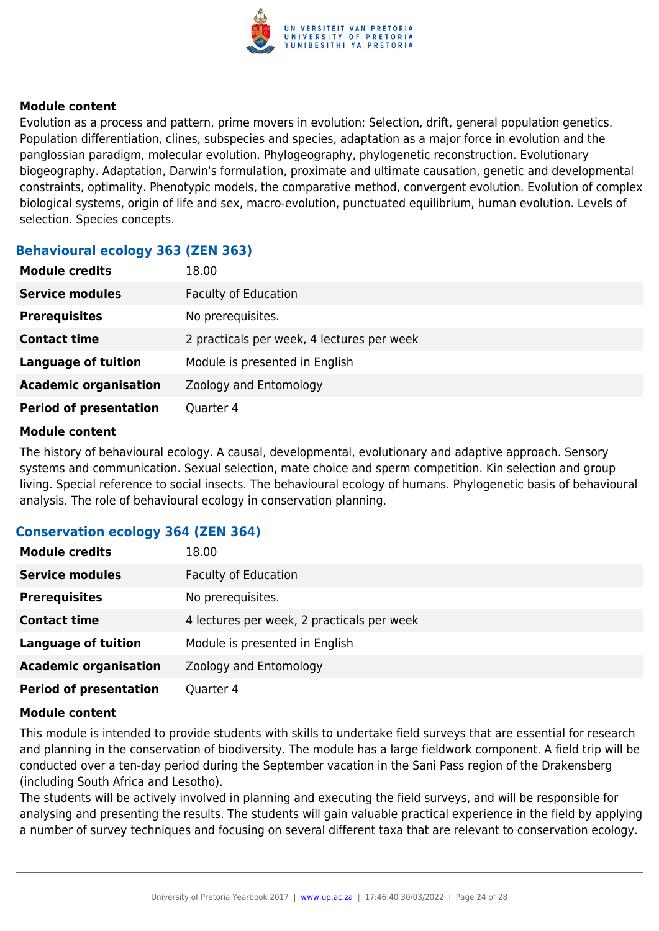

Evolution as a process and pattern, prime movers in evolution: Selection, drift, general population genetics. Population differentiation, clines, subspecies and species, adaptation as a major force in evolution and the panglossian paradigm, molecular evolution. Phylogeography, phylogenetic reconstruction. Evolutionary biogeography. Adaptation, Darwin's formulation, proximate and ultimate causation, genetic and developmental constraints, optimality. Phenotypic models, the comparative method, convergent evolution. Evolution of complex biological systems, origin of life and sex, macro-evolution, punctuated equilibrium, human evolution. Levels of selection. Species concepts.

#### **Behavioural ecology 363 (ZEN 363)**

| <b>Module credits</b>         | 18.00                                      |
|-------------------------------|--------------------------------------------|
| <b>Service modules</b>        | <b>Faculty of Education</b>                |
| <b>Prerequisites</b>          | No prerequisites.                          |
| <b>Contact time</b>           | 2 practicals per week, 4 lectures per week |
| <b>Language of tuition</b>    | Module is presented in English             |
| <b>Academic organisation</b>  | Zoology and Entomology                     |
| <b>Period of presentation</b> | Quarter 4                                  |

#### **Module content**

The history of behavioural ecology. A causal, developmental, evolutionary and adaptive approach. Sensory systems and communication. Sexual selection, mate choice and sperm competition. Kin selection and group living. Special reference to social insects. The behavioural ecology of humans. Phylogenetic basis of behavioural analysis. The role of behavioural ecology in conservation planning.

#### **Conservation ecology 364 (ZEN 364)**

| <b>Module credits</b>         | 18.00                                      |
|-------------------------------|--------------------------------------------|
| <b>Service modules</b>        | <b>Faculty of Education</b>                |
| <b>Prerequisites</b>          | No prerequisites.                          |
| <b>Contact time</b>           | 4 lectures per week, 2 practicals per week |
| <b>Language of tuition</b>    | Module is presented in English             |
| <b>Academic organisation</b>  | Zoology and Entomology                     |
| <b>Period of presentation</b> | Quarter 4                                  |

#### **Module content**

This module is intended to provide students with skills to undertake field surveys that are essential for research and planning in the conservation of biodiversity. The module has a large fieldwork component. A field trip will be conducted over a ten-day period during the September vacation in the Sani Pass region of the Drakensberg (including South Africa and Lesotho).

The students will be actively involved in planning and executing the field surveys, and will be responsible for analysing and presenting the results. The students will gain valuable practical experience in the field by applying a number of survey techniques and focusing on several different taxa that are relevant to conservation ecology.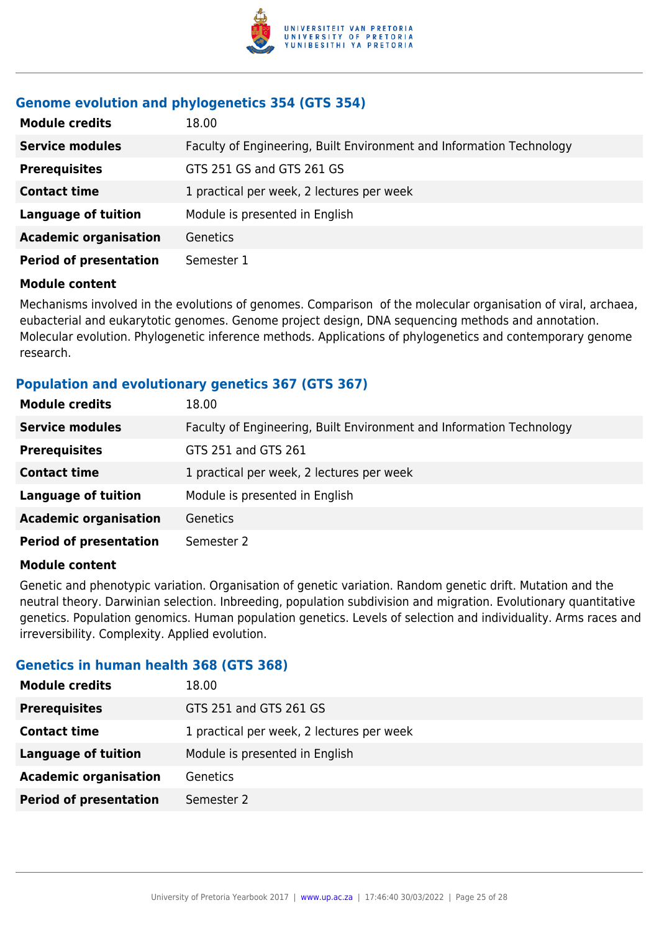

### **Genome evolution and phylogenetics 354 (GTS 354)**

| <b>Module credits</b>         | 18.00                                                                |
|-------------------------------|----------------------------------------------------------------------|
| <b>Service modules</b>        | Faculty of Engineering, Built Environment and Information Technology |
| <b>Prerequisites</b>          | GTS 251 GS and GTS 261 GS                                            |
| <b>Contact time</b>           | 1 practical per week, 2 lectures per week                            |
| <b>Language of tuition</b>    | Module is presented in English                                       |
| <b>Academic organisation</b>  | <b>Genetics</b>                                                      |
| <b>Period of presentation</b> | Semester 1                                                           |

### **Module content**

Mechanisms involved in the evolutions of genomes. Comparison of the molecular organisation of viral, archaea, eubacterial and eukarytotic genomes. Genome project design, DNA sequencing methods and annotation. Molecular evolution. Phylogenetic inference methods. Applications of phylogenetics and contemporary genome research.

### **Population and evolutionary genetics 367 (GTS 367)**

| <b>Module credits</b>         | 18.00                                                                |
|-------------------------------|----------------------------------------------------------------------|
| <b>Service modules</b>        | Faculty of Engineering, Built Environment and Information Technology |
| <b>Prerequisites</b>          | GTS 251 and GTS 261                                                  |
| <b>Contact time</b>           | 1 practical per week, 2 lectures per week                            |
| <b>Language of tuition</b>    | Module is presented in English                                       |
| <b>Academic organisation</b>  | Genetics                                                             |
| <b>Period of presentation</b> | Semester 2                                                           |

#### **Module content**

Genetic and phenotypic variation. Organisation of genetic variation. Random genetic drift. Mutation and the neutral theory. Darwinian selection. Inbreeding, population subdivision and migration. Evolutionary quantitative genetics. Population genomics. Human population genetics. Levels of selection and individuality. Arms races and irreversibility. Complexity. Applied evolution.

# **Genetics in human health 368 (GTS 368)**

| <b>Module credits</b>         | 18.00                                     |
|-------------------------------|-------------------------------------------|
| <b>Prerequisites</b>          | GTS 251 and GTS 261 GS                    |
| <b>Contact time</b>           | 1 practical per week, 2 lectures per week |
| <b>Language of tuition</b>    | Module is presented in English            |
| <b>Academic organisation</b>  | Genetics                                  |
| <b>Period of presentation</b> | Semester 2                                |
|                               |                                           |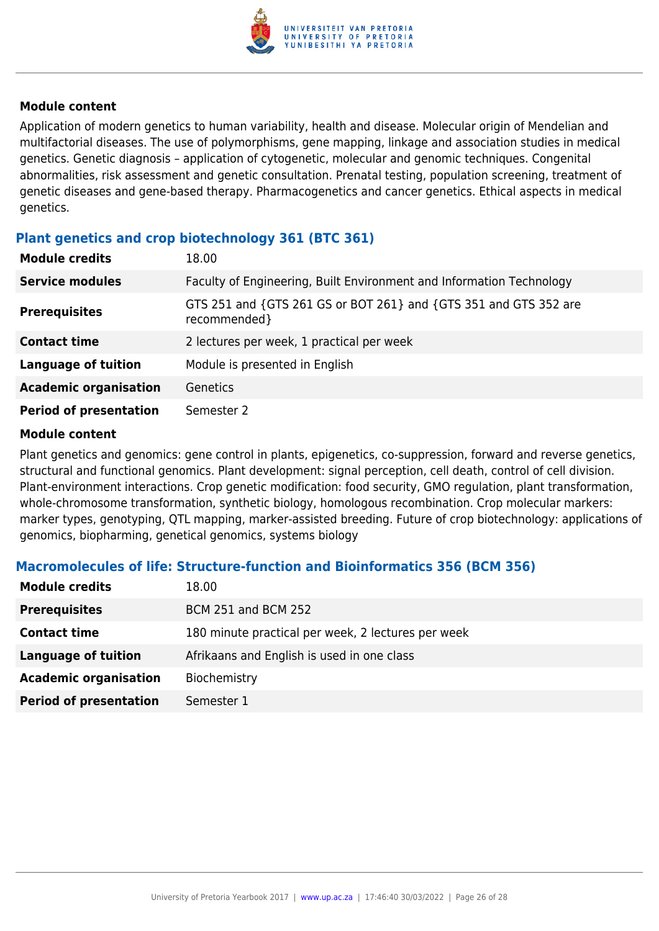

Application of modern genetics to human variability, health and disease. Molecular origin of Mendelian and multifactorial diseases. The use of polymorphisms, gene mapping, linkage and association studies in medical genetics. Genetic diagnosis – application of cytogenetic, molecular and genomic techniques. Congenital abnormalities, risk assessment and genetic consultation. Prenatal testing, population screening, treatment of genetic diseases and gene-based therapy. Pharmacogenetics and cancer genetics. Ethical aspects in medical genetics.

#### **Plant genetics and crop biotechnology 361 (BTC 361)**

| <b>Module credits</b>         | 18.00                                                                            |
|-------------------------------|----------------------------------------------------------------------------------|
| <b>Service modules</b>        | Faculty of Engineering, Built Environment and Information Technology             |
| <b>Prerequisites</b>          | GTS 251 and {GTS 261 GS or BOT 261} and {GTS 351 and GTS 352 are<br>recommended} |
| <b>Contact time</b>           | 2 lectures per week, 1 practical per week                                        |
| <b>Language of tuition</b>    | Module is presented in English                                                   |
| <b>Academic organisation</b>  | Genetics                                                                         |
| <b>Period of presentation</b> | Semester 2                                                                       |

#### **Module content**

Plant genetics and genomics: gene control in plants, epigenetics, co-suppression, forward and reverse genetics, structural and functional genomics. Plant development: signal perception, cell death, control of cell division. Plant-environment interactions. Crop genetic modification: food security, GMO regulation, plant transformation, whole-chromosome transformation, synthetic biology, homologous recombination. Crop molecular markers: marker types, genotyping, QTL mapping, marker-assisted breeding. Future of crop biotechnology: applications of genomics, biopharming, genetical genomics, systems biology

#### **Macromolecules of life: Structure-function and Bioinformatics 356 (BCM 356)**

| <b>Module credits</b>         | 18.00                                              |
|-------------------------------|----------------------------------------------------|
| <b>Prerequisites</b>          | <b>BCM 251 and BCM 252</b>                         |
| <b>Contact time</b>           | 180 minute practical per week, 2 lectures per week |
| <b>Language of tuition</b>    | Afrikaans and English is used in one class         |
| <b>Academic organisation</b>  | Biochemistry                                       |
| <b>Period of presentation</b> | Semester 1                                         |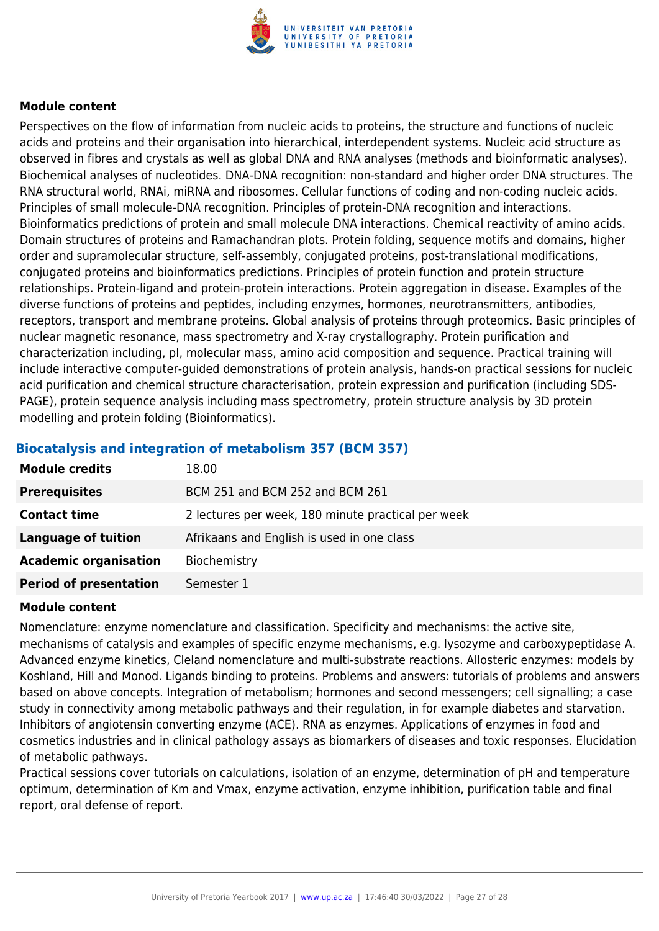

Perspectives on the flow of information from nucleic acids to proteins, the structure and functions of nucleic acids and proteins and their organisation into hierarchical, interdependent systems. Nucleic acid structure as observed in fibres and crystals as well as global DNA and RNA analyses (methods and bioinformatic analyses). Biochemical analyses of nucleotides. DNA-DNA recognition: non-standard and higher order DNA structures. The RNA structural world, RNAi, miRNA and ribosomes. Cellular functions of coding and non-coding nucleic acids. Principles of small molecule-DNA recognition. Principles of protein-DNA recognition and interactions. Bioinformatics predictions of protein and small molecule DNA interactions. Chemical reactivity of amino acids. Domain structures of proteins and Ramachandran plots. Protein folding, sequence motifs and domains, higher order and supramolecular structure, self-assembly, conjugated proteins, post-translational modifications, conjugated proteins and bioinformatics predictions. Principles of protein function and protein structure relationships. Protein-ligand and protein-protein interactions. Protein aggregation in disease. Examples of the diverse functions of proteins and peptides, including enzymes, hormones, neurotransmitters, antibodies, receptors, transport and membrane proteins. Global analysis of proteins through proteomics. Basic principles of nuclear magnetic resonance, mass spectrometry and X-ray crystallography. Protein purification and characterization including, pI, molecular mass, amino acid composition and sequence. Practical training will include interactive computer-guided demonstrations of protein analysis, hands-on practical sessions for nucleic acid purification and chemical structure characterisation, protein expression and purification (including SDS-PAGE), protein sequence analysis including mass spectrometry, protein structure analysis by 3D protein modelling and protein folding (Bioinformatics).

# **Module credits** 18.00 **Prerequisites** BCM 251 and BCM 252 and BCM 261 **Contact time** 2 lectures per week, 180 minute practical per week **Language of tuition** Afrikaans and English is used in one class

#### **Biocatalysis and integration of metabolism 357 (BCM 357)**

#### **Module content**

**Academic organisation** Biochemistry

**Period of presentation** Semester 1

Nomenclature: enzyme nomenclature and classification. Specificity and mechanisms: the active site, mechanisms of catalysis and examples of specific enzyme mechanisms, e.g. lysozyme and carboxypeptidase A. Advanced enzyme kinetics, Cleland nomenclature and multi-substrate reactions. Allosteric enzymes: models by Koshland, Hill and Monod. Ligands binding to proteins. Problems and answers: tutorials of problems and answers based on above concepts. Integration of metabolism; hormones and second messengers; cell signalling; a case study in connectivity among metabolic pathways and their regulation, in for example diabetes and starvation. Inhibitors of angiotensin converting enzyme (ACE). RNA as enzymes. Applications of enzymes in food and cosmetics industries and in clinical pathology assays as biomarkers of diseases and toxic responses. Elucidation of metabolic pathways.

Practical sessions cover tutorials on calculations, isolation of an enzyme, determination of pH and temperature optimum, determination of Km and Vmax, enzyme activation, enzyme inhibition, purification table and final report, oral defense of report.